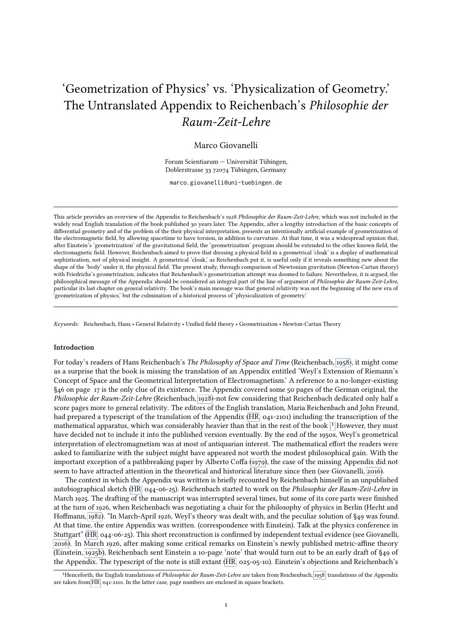# <span id="page-0-1"></span>'Geometrization of Physics' vs. 'Physicalization of Geometry.' The Untranslated Appendix to Reichenbach's Philosophie der Raum-Zeit-Lehre

## Marco Giovanelli

Forum Scientiarum — Universität Tübingen, Doblerstrasse 33 72074 Tübingen, Germany

marco.giovanelli@uni-tuebingen.de

This article provides an overview of the Appendix to Reichenbach's 1928 Philosophie der Raum-Zeit-Lehre, which was not included in the widely read English translation of the book published 30 years later. The Appendix, after a lengthy introduction of the basic concepts of differential geometry and of the problem of the their physical interpretation, presents an intentionally artificial example of geometrization of the electromagnetic field, by allowing spacetime to have torsion, in addition to curvature. At that time, it was a widespread opinion that, after Einstein's 'geometrization' of the gravitational field, the 'geometrization' program should be extended to the other known field, the electromagnetic field. However, Reichenbach aimed to prove that dressing a physical field in a geometrical 'cloak' is a display of mathematical sophistication, not of physical insight. A geometrical 'cloak,' as Reichenbach put it, is useful only if it reveals something new about the shape of the 'body' under it, the physical field. The present study, through comparison of Newtonian gravitation (Newton-Cartan theory) with Friedrichs's geometrization, indicates that Reichenbach's geometrization attempt was doomed to failure. Nevertheless, it is argued, the philosophical message of the Appendix should be considered an integral part of the line of argument of Philosophie der Raum-Zeit-Lehre, particular its last chapter on general relativity. The book's main message was that general relativity was not the beginning of the new era of 'geometrization of physics,' but the culmination of a historical process of 'physicalization of geometry.'

Keywords: Reichenbach, Hans • General Relativity • Unified field theory • Geometrization • Newton-Cartan Theory

#### Introduction

For today's readers of Hans Reichenbach's The Philosophy of Space and Time (Reichenbach, [1958\)](#page-20-0), it might come as a surprise that the book is missing the translation of an Appendix entitled 'Weyl's Extension of Riemann's Concept of Space and the Geometrical Interpretation of Electromagnetism.' A reference to a no-longer-existing §46 on page 17 is the only clue of its existence. The Appendix covered some 50 pages of the German original, the Philosophie der Raum-Zeit-Lehre (Reichenbach, [1928\)](#page-20-1)-not few considering that Reichenbach dedicated only half a score pages more to general relativity. The editors of the English translation, Maria Reichenbach and John Freund, had prepared a typescript of the translation of the Appendix (HR, 041-2101) including the transcription of the mathematical apparatus, which was considerably heavier than that in the rest of the book [.](#page-0-0)<sup>1</sup> However, they must have decided not to include it into the published version eventually. By the end of the 1950s, Weyl's geometrical interpretation of electromagnetism was at most of antiquarian interest. The mathematical effort the readers were asked to familiarize with the subject might have appeared not worth the modest philosophical gain. With the important exception of a pathbreaking paper by Alberto Coffa [\(1979\)](#page-19-0), the case of the missing Appendix did not seem to have attracted attention in the theoretical and historical literature since then (see Giovanelli, [2016\)](#page-20-2).

The context in which the Appendix was written is briefly recounted by Reichenbach himself in an unpublished autobiographical sketch (HR, 044-06-25). Reichenbach started to work on the Philosophie der Raum-Zeit-Lehre in March 1925. The drafting of the manuscript was interrupted several times, but some of its core parts were finished at the turn of 1926, when Reichenbach was negotiating a chair for the philosophy of physics in Berlin (Hecht and Hoffmann, [1982\)](#page-20-3). "In March-April 1926, Weyl's theory was dealt with, and the peculiar solution of §49 was found. At that time, the entire Appendix was written. (correspondence with Einstein). Talk at the physics conference in Stuttgart" (HR, 044-06-25). This short reconstruction is confirmed by independent textual evidence (see Giovanelli, [2016\)](#page-20-2). In March 1926, after making some critical remarks on Einstein's newly published metric-affine theory (Einstein, [1925b\)](#page-19-1), Reichenbach sent Einstein a 10-page 'note' that would turn out to be an early draft of §49 of the Appendix. The typescript of the note is still extant (HR, 025-05-10). Einstein's objections and Reichenbach's 1

<span id="page-0-0"></span><sup>&</sup>lt;sup>1</sup>Henceforth, the English translations of Philosophie der Raum-Zeit-Lehre are taken from Reichenbach, [1958;](#page-20-0) translations of the Appendix are taken from HR, 041-2101. In the latter case, page numbers are enclosed in square brackets.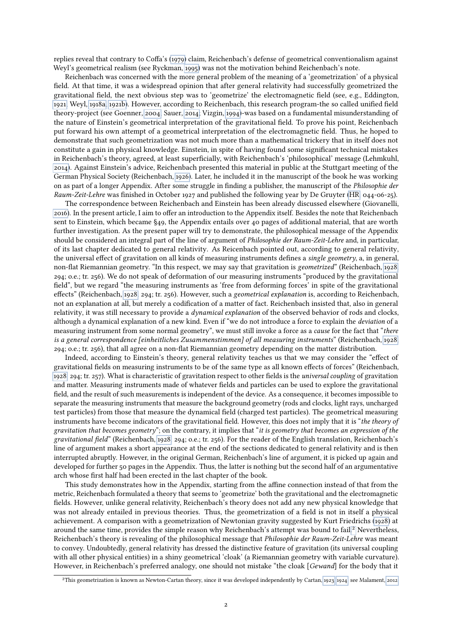replies reveal that contrary to Coffa's [\(1979\)](#page-19-0) claim, Reichenbach's defense of geometrical conventionalism against Weyl's geometrical realism (see Ryckman, [1995\)](#page-20-4) was not the motivation behind Reichenbach's note.

Reichenbach was concerned with the more general problem of the meaning of a 'geometrization' of a physical field. At that time, it was a widespread opinion that after general relativity had successfully geometrized the gravitational field, the next obvious step was to 'geometrize' the electromagnetic field (see, e.g., Eddington, [1921;](#page-19-2) Weyl, [1918a,](#page-20-5) [1921b\)](#page-20-6). However, according to Reichenbach, this research program-the so called unified field theory-project (see Goenner, [2004;](#page-20-7) Sauer, [2014;](#page-20-8) Vizgin, [1994\)](#page-20-9)-was based on a fundamental misunderstanding of the nature of Einstein's geometrical interpretation of the gravitational field. To prove his point, Reichenbach put forward his own attempt of a geometrical interpretation of the electromagnetic field. Thus, he hoped to demonstrate that such geometrization was not much more than a mathematical trickery that in itself does not constitute a gain in physical knowledge. Einstein, in spite of having found some significant technical mistakes in Reichenbach's theory, agreed, at least superficially, with Reichenbach's 'philosophical' message (Lehmkuhl, [2014\)](#page-20-10). Against Einstein's advice, Reichenbach presented this material in public at the Stuttgart meeting of the German Physical Society (Reichenbach, [1926\)](#page-20-11). Later, he included it in the manuscript of the book he was working on as part of a longer Appendix. After some struggle in finding a publisher, the manuscript of the Philosophie der Raum-Zeit-Lehre was finished in October 1927 and published the following year by De Gruyter [\(HR,](#page-0-1) 044-06-25).

The correspondence between Reichenbach and Einstein has been already discussed elsewhere (Giovanelli, [2016\)](#page-20-2). In the present article, I aim to offer an introduction to the Appendix itself. Besides the note that Reichenbach sent to Einstein, which became §49, the Appendix entails over 40 pages of additional material, that are worth further investigation. As the present paper will try to demonstrate, the philosophical message of the Appendix should be considered an integral part of the line of argument of Philosophie der Raum-Zeit-Lehre and, in particular, of its last chapter dedicated to general relativity. As Reicenbach pointed out, according to general relativity, the universal effect of gravitation on all kinds of measuring instruments defines a single geometry, a, in general, non-flat Riemannian geometry. "In this respect, we may say that gravitation is *geometrized*" (Reichenbach, [1928,](#page-20-1) 294; o.e.; tr. 256). We do not speak of deformation of our measuring instruments "produced by the gravitational field", but we regard "the measuring instruments as 'free from deforming forces' in spite of the gravitational effects" (Reichenbach, [1928,](#page-20-1) 294; tr. 256). However, such a geometrical explanation is, according to Reichenbach, not an explanation at all, but merely a codification of a matter of fact. Reichenbach insisted that, also in general relativity, it was still necessary to provide a dynamical explanation of the observed behavior of rods and clocks, although a dynamical explanation of a new kind. Even if "we do not introduce a force to explain the deviation of a measuring instrument from some normal geometry", we must still invoke a force as a *cause* for the fact that "there is a general correspondence [einheitliches Zusammenstimmen] of all measuring instruments" (Reichenbach, [1928,](#page-20-1) 294; o.e.; tr. 256), that all agree on a non-flat Riemannian geometry depending on the matter distribution.

Indeed, according to Einstein's theory, general relativity teaches us that we may consider the "effect of gravitational fields on measuring instruments to be of the same type as all known effects of forces" (Reichenbach, [1928,](#page-20-1) 294; tr. 257). What is characteristic of gravitation respect to other fields is the *universal coupling* of gravitation and matter. Measuring instruments made of whatever fields and particles can be used to explore the gravitational field, and the result of such measurements is independent of the device. As a consequence, it becomes impossible to separate the measuring instruments that measure the background geometry (rods and clocks, light rays, uncharged test particles) from those that measure the dynamical field (charged test particles). The geometrical measuring instruments have become indicators of the gravitational field. However, this does not imply that it is "the theory of gravitation that becomes geometry"; on the contrary, it implies that "it is geometry that becomes an expression of the gravitational field" (Reichenbach, [1928,](#page-20-1) 294; o.e.; tr. 256). For the reader of the English translation, Reichenbach's line of argument makes a short appearance at the end of the sections dedicated to general relativity and is then interrupted abruptly. However, in the original German, Reichenbach's line of argument, it is picked up again and developed for further 50 pages in the Appendix. Thus, the latter is nothing but the second half of an argumentative arch whose first half had been erected in the last chapter of the book.

This study demonstrates how in the Appendix, starting from the affine connection instead of that from the metric, Reichenbach formulated a theory that seems to 'geometrize' both the gravitational and the electromagnetic fields. However, unlike general relativity, Reichenbach's theory does not add any new physical knowledge that was not already entailed in previous theories. Thus, the geometrization of a field is not in itself a physical achievement. A comparison with a geometrization of Newtonian gravity suggested by Kurt Friedrichs [\(1928\)](#page-19-3) at around the same time, provides the simple reason why Reichenbach's attempt was bound to fail[.](#page-1-0)<sup>2</sup> Nevertheless, Reichenbach's theory is revealing of the philosophical message that Philosophie der Raum-Zeit-Lehre was meant to convey. Undoubtedly, general relativity has dressed the distinctive feature of gravitation (its universal coupling with all other physical entities) in a shiny geometrical 'cloak' (a Riemannian geometry with variable curvature). However, in Reichenbach's preferred analogy, one should not mistake "the cloak [*Gewand*] for the body that it

<span id="page-1-0"></span><sup>&</sup>lt;sup>2</sup>This geometrization is known as Newton-Cartan theory, since it was developed independently by Cartan, [1923,](#page-19-4) [1924;](#page-19-5) see Malament, [2012.](#page-20-12)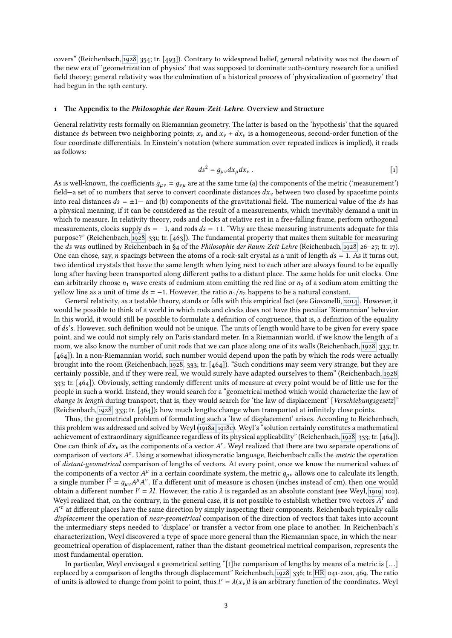covers" (Reichenbach, [1928,](#page-20-1) 354; tr. [493]). Contrary to widespread belief, general relativity was not the dawn of the new era of 'geometrization of physics' that was supposed to dominate 20th-century research for a unified field theory; general relativity was the culmination of a historical process of 'physicalization of geometry' that had begun in the 19th century.

#### 1 The Appendix to the Philosophie der Raum-Zeit-Lehre. Overview and Structure

General relativity rests formally on Riemannian geometry. The latter is based on the 'hypothesis' that the squared distance ds between two neighboring points;  $x_v$  and  $x_v + dx_v$  is a homogeneous, second-order function of the four coordinate differentials. In Einstein's notation (where summation over repeated indices is implied), it reads as follows:

<span id="page-2-0"></span>
$$
ds^2 = g_{\mu\nu} dx_{\mu} dx_{\nu} . \qquad [1]
$$

As is well-known, the coefficients  $g_{\mu\nu} = g_{\nu\mu}$  are at the same time (a) the components of the metric ('measurement') field—a set of 10 numbers that serve to convert coordinate distances  $dx<sub>v</sub>$  between two closed by spacetime points into real distances  $ds = \pm 1$ — and (b) components of the gravitational field. The numerical value of the ds has a physical meaning, if it can be considered as the result of a measurements, which inevitably demand a unit in which to measure. In relativity theory, rods and clocks at relative rest in a free-falling frame, perform orthogonal measurements, clocks supply  $ds = -1$ , and rods  $ds = +1$ . "Why are these measuring instruments adequate for this purpose?" (Reichenbach, [1928,](#page-20-1) 331; tr. [463]). The fundamental property that makes them suitable for measuring the ds was outlined by Reichenbach in §4 of the Philosophie der Raum-Zeit-Lehre (Reichenbach, [1928,](#page-20-1) 26–27; tr. 17). One can chose, say, *n* spacings between the atoms of a rock-salt crystal as a unit of length  $ds = 1$ . As it turns out, two identical crystals that have the same length when lying next to each other are always found to be equally long after having been transported along different paths to a distant place. The same holds for unit clocks. One can arbitrarily choose  $n_1$  wave crests of cadmium atom emitting the red line or  $n_2$  of a sodium atom emitting the yellow line as a unit of time  $ds = -1$ . However, the ratio  $n_1/n_2$  happens to be a natural constant.

General relativity, as a testable theory, stands or falls with this empirical fact (see Giovanelli, [2014\)](#page-19-6). However, it would be possible to think of a world in which rods and clocks does not have this peculiar 'Riemannian' behavior. In this world, it would still be possible to formulate a definition of congruence, that is, a definition of the equality of ds's. However, such definition would not be unique. The units of length would have to be given for every space point, and we could not simply rely on Paris standard meter. In a Riemannian world, if we know the length of a room, we also know the number of unit rods that we can place along one of its walls (Reichenbach, [1928,](#page-20-1) 333; tr. [464]). In a non-Riemannian world, such number would depend upon the path by which the rods were actually brought into the room (Reichenbach, [1928,](#page-20-1) 333; tr. [464]). "Such conditions may seem very strange, but they are certainly possible, and if they were real, we would surely have adapted ourselves to them" (Reichenbach, [1928,](#page-20-1) 333; tr. [464]). Obviously, setting randomly different units of measure at every point would be of little use for the people in such a world. Instead, they would search for a "geometrical method which would characterize the law of change in length during transport; that is, they would search for 'the law of displacement' [Verschiebungsgesetz]" (Reichenbach, [1928,](#page-20-1) 333; tr. [464]): how much lengths change when transported at innitely close points.

Thus, the geometrical problem of formulating such a 'law of displacement' arises. According to Reichenbach, this problem was addressed and solved by Weyl [\(1918a,](#page-20-5) [1918c\)](#page-20-13). Weyl's "solution certainly constitutes a mathematical achievement of extraordinary signicance regardless of its physical applicability" (Reichenbach, [1928,](#page-20-1) 333; tr. [464]). One can think of  $dx_v$  as the components of a vector  $A^{\tau}$ . Weyl realized that there are two separate operations of comparison of vectors  $A^{\tau}$ . Using a somewhat idiosyncratic language. Reichenbach calls the *metric* t comparison of vectors  $A^{\tau}$ . Using a somewhat idiosyncratic language, Reichenbach calls the *metric* the operation<br>of distant-geometrical comparison of lengths of vectors. At every point, once we know the numerical valu of distant-geometrical comparison of lengths of vectors. At every point, once we know the numerical values of the components of a vector  $A^{\mu}$  in a certain coordinate system, the metric  $g_{\mu\nu}$  allows one to calculate its length,<br>a single number  $I^2 = a A^{\mu} A^{\nu}$ . If a different unit of measure is chosen (inches instead of cm a single number  $l^2 = g_{\mu\nu}A^{\mu}A^{\nu}$ . If a different unit of measure is chosen (inches instead of cm), then one would<br>obtain a different number  $l' = \lambda l$ . However, the ratio  $\lambda$  is regarded as an absolute constant (see obtain a different number  $l' = \lambda l$ . However, the ratio  $\lambda$  is regarded as an absolute constant (see Weyl, [1919,](#page-20-14) 102).<br>Weyl realized that on the contrary in the general case it is not possible to establish whether two ve Weyl realized that, on the contrary, in the general case, it is not possible to establish whether two vectors  $A^{\tau}$  and  $A^{\prime\tau}$  at different places have the same direction by simply inspecting their components. Beiche A displacement the operation of near-geometrical comparison of the direction of vectors that takes into account  $\tau$  at different places have the same direction by simply inspecting their components. Reichenbach typically calls the intermediary steps needed to 'displace' or transfer a vector from one place to another. In Reichenbach's characterization, Weyl discovered a type of space more general than the Riemannian space, in which the neargeometrical operation of displacement, rather than the distant-geometrical metrical comparison, represents the most fundamental operation.

In particular, Weyl envisaged a geometrical setting "[t]he comparison of lengths by means of a metric is [. . .] replaced by a comparison of lengths through displacement" Reichenbach, [1928,](#page-20-1) 336; tr. [HR,](#page-0-1) 041-2101, 469. The ratio of units is allowed to change from point to point, thus  $l' = \lambda(x_v)l$  is an arbitrary function of the coordinates. Weyl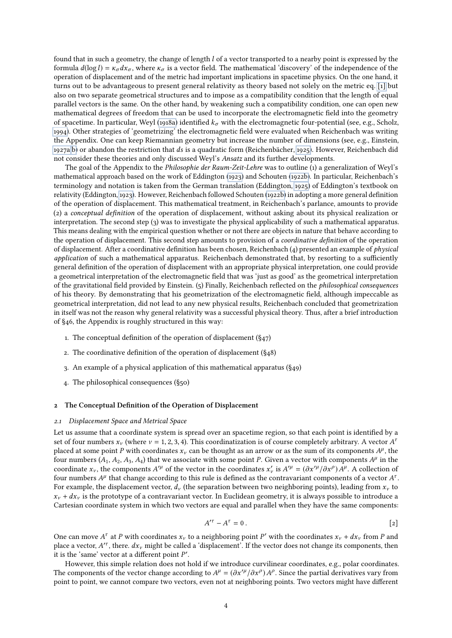found that in such a geometry, the change of length l of a vector transported to a nearby point is expressed by the formula  $d(\log l) = \kappa_{\sigma} dx_{\sigma}$ , where  $\kappa_{\sigma}$  is a vector field. The mathematical 'discovery' of the independence of the operation of displacement and of the metric had important implications in spacetime physics. On the one hand, it turns out to be advantageous to present general relativity as theory based not solely on the metric eq. [\[1\]](#page-2-0) but also on two separate geometrical structures and to impose as a compatibility condition that the length of equal parallel vectors is the same. On the other hand, by weakening such a compatibility condition, one can open new mathematical degrees of freedom that can be used to incorporate the electromagnetic field into the geometry of spacetime. In particular, Weyl [\(1918a\)](#page-20-5) identified  $k_{\sigma}$  with the electromagnetic four-potential (see, e.g., Scholz, [1994\)](#page-20-15). Other strategies of 'geometrizing' the electromagnetic eld were evaluated when Reichenbach was writing the Appendix. One can keep Riemannian geometry but increase the number of dimensions (see, e.g., Einstein, [1927a,](#page-19-7)[b\)](#page-19-8) or abandon the restriction that ds is a quadratic form (Reichenbächer, [1925\)](#page-20-16). However, Reichenbach did not consider these theories and only discussed Weyl's Ansatz and its further developments.

The goal of the Appendix to the Philosophie der Raum-Zeit-Lehre was to outline (1) a generalization of Weyl's mathematical approach based on the work of Eddington [\(1923\)](#page-19-9) and Schouten [\(1922b\)](#page-20-17). In particular, Reichenbach's terminology and notation is taken from the German translation (Eddington, [1925\)](#page-19-10) of Eddington's textbook on relativity (Eddington, [1923\)](#page-19-9). However, Reichenbach followed Schouten [\(1922b\)](#page-20-17) in adopting a more general definition of the operation of displacement. This mathematical treatment, in Reichenbach's parlance, amounts to provide (2) a conceptual denition of the operation of displacement, without asking about its physical realization or interpretation. The second step (3) was to investigate the physical applicability of such a mathematical apparatus. This means dealing with the empirical question whether or not there are objects in nature that behave according to the operation of displacement. This second step amounts to provision of a *coordinative definition* of the operation of displacement. After a coordinative definition has been chosen, Reichenbach (4) presented an example of *physical* application of such a mathematical apparatus. Reichenbach demonstrated that, by resorting to a sufficiently general definition of the operation of displacement with an appropriate physical interpretation, one could provide a geometrical interpretation of the electromagnetic field that was 'just as good' as the geometrical interpretation of the gravitational field provided by Einstein. (5) Finally, Reichenbach reflected on the *philosophical consequences* of his theory. By demonstrating that his geometrization of the electromagnetic field, although impeccable as geometrical interpretation, did not lead to any new physical results, Reichenbach concluded that geometrization in itself was not the reason why general relativity was a successful physical theory. Thus, after a brief introduction of §46, the Appendix is roughly structured in this way:

- 1. The conceptual definition of the operation of displacement  $(\S_{47})$
- 2. The coordinative definition of the operation of displacement  $(\S_{4}8)$
- 3. An example of a physical application of this mathematical apparatus (§49)
- 4. The philosophical consequences (§50)

#### 2 The Conceptual Definition of the Operation of Displacement

#### 2.1 Displacement Space and Metrical Space

Let us assume that a coordinate system is spread over an spacetime region, so that each point is identified by a set of four numbers  $x_v$  (where  $v = 1, 2, 3, 4$ ). This coordinatization is of course completely arbitrary. A vector  $A^a$ <br>placed at some point P with coordinates x, can be thought as an arrow or as the sum of its componen placed at some point P with coordinates  $x_v$  can be thought as an arrow or as the sum of its components  $A^{\mu}$ , the four numbers  $(A, A_0, A_1)$  that we associate with some point P. Given a vector with components  $A^{\mu}$  in four numbers  $(A_1, A_2, A_3, A_4)$  that we associate with some point P. Given a vector with components  $A^{\mu}$  in the coordinate  $x^{\mu}$  in the coordinates  $x^{\mu} = (A x^{\mu} + A x^{\rho}) A^{\mu}$ . A collection of coordinate  $x_v$ , the components  $A^{\prime\mu}$  of the vector in the coordinates  $x_v'$  is  $A^{\prime\mu} = (\partial x^{\prime\mu}/\partial x^{\rho}) A^{\mu}$ . A collection of the numbers  $A^{\mu}$  that change according to this rule is defined as the contravariant c four numbers  $A^{\mu}$  that change according to this rule is defined as the contravariant components of a vector  $A^{\tau}$ .<br>For example, the displacement vector duties enaration between two neighboring points), leading from x For example, the displacement vector,  $d_v$  (the separation between two neighboring points), leading from  $x_v$  to  $x_v + dx_v$  is the prototype of a contravariant vector. In Euclidean geometry, it is always possible to introduce a Cartesian coordinate system in which two vectors are equal and parallel when they have the same components:

$$
A^{\prime \tau} - A^{\tau} = 0. \tag{2}
$$

One can move  $A^{\tau}$  at P with coordinates  $x_v$  to a neighboring point P' with the coordinates  $x_v + dx_v$  from P and<br>place a vector  $A^{\prime\tau}$  there dx, might be called a 'displacement'. If the vector does not change its comp place a vector,  $A^{r}$ , there.  $dx_v$  might be called a 'displacement'. If the vector does not change its components, then<br>it is the 'same' vector at a different point P' it is the 'same' vector at a different point  $P'$ .<br>However, this simple relation does not be

However, this simple relation does not hold if we introduce curvilinear coordinates, e.g., polar coordinates. The components of the vector change according to  $A^{\mu} = (\partial x'^{\mu}/\partial x^{\rho}) A^{\rho}$ . Since the partial derivatives vary from point to point we cannot compare two vectors, even not at neighboring points. Two vectors might have di point to point, we cannot compare two vectors, even not at neighboring points. Two vectors might have different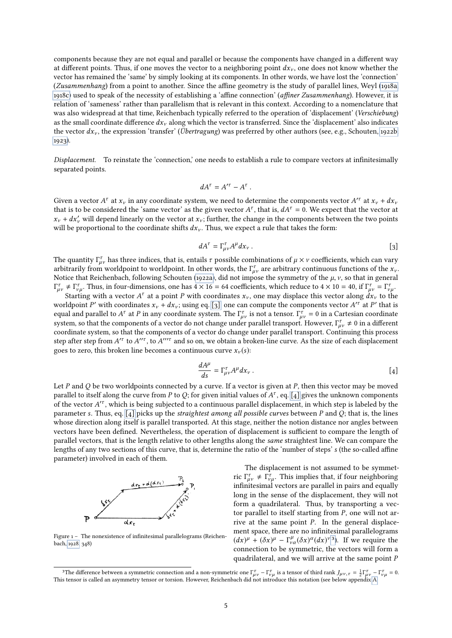components because they are not equal and parallel or because the components have changed in a different way at different points. Thus, if one moves the vector to a neighboring point  $dx<sub>v</sub>$ , one does not know whether the vector has remained the 'same' by simply looking at its components. In other words, we have lost the 'connection' (Zusammenhang) from a point to another. Since the affine geometry is the study of parallel lines, Weyl [\(1918a,](#page-20-5) [1918c\)](#page-20-13) used to speak of the necessity of establishing a 'affine connection' (affiner Zusammenhang). However, it is relation of 'sameness' rather than parallelism that is relevant in this context. According to a nomenclature that was also widespread at that time, Reichenbach typically referred to the operation of 'displacement' (Verschiebung) as the small coordinate difference  $dx_v$  along which the vector is transferred. Since the 'displacement' also indicates the vector  $dx_v$ , the expression 'transfer' (*Übertragung*) was preferred by other authors (see, e.g., Schouten, [1922b,](#page-20-17) [1923\)](#page-20-18).

Displacement. To reinstate the 'connection,' one needs to establish a rule to compare vectors at infinitesimally separated points.

$$
dA^{\tau}=A^{\prime\tau}-A^{\tau}.
$$

Given a vector  $A^{\tau}$  at  $x_{\nu}$  in any coordinate system, we need to determine the components vector  $A^{\tau}$  at  $x_{\nu} + dx_{\nu}$ <br>that is to be considered the 'same vector' as the given vector  $A^{\tau}$  that is  $A A^{\tau} = 0$ . W that is to be considered the 'same vector' as the given vector  $A^{\tau}$ , that is,  $dA^{\tau} = 0$ . We expect that the vector at  $x + dx'$  will depend linearly on the vector at  $x +$  further, the change in the components between th  $x_v + dx'_v$  will depend linearly on the vector at  $x_v$ ; further, the change in the components between the two points will be proportional to the coordinate shifts  $dx$ . Thus we expect a rule that takes the form. will be proportional to the coordinate shifts  $dx_{\nu}$ . Thus, we expect a rule that takes the form:

<span id="page-4-0"></span>
$$
dA^{\tau} = \Gamma_{\mu\nu}^{\tau} A^{\mu} dx_{\nu} . \tag{3}
$$

The quantity  $\Gamma_{\mu\nu}^{\tau}$  has three indices, that is, entails  $\tau$  possible combinations of  $\mu \times \nu$  coefficients, which can vary arbitrarily from worldpoint to worldpoint. In other words, the  $\Gamma^{\tau}$  are arbitrary con arbitrarily from worldpoint to worldpoint. In other words, the  $\Gamma_{\mu\nu}^{\tau}$  are arbitrary continuous functions of the  $x_{\nu}$ .<br>Notice that Beichenbach, following Schouten (1922a), did not impose the symmetry of the *u*, Notice that Reichenbach, following Schouten [\(1922a\)](#page-20-19), did not impose the symmetry of the  $\mu$ ,  $\nu$ , so that in general  $T_{\mu\nu}^{\tau} \neq \Gamma_{\nu\mu}^{\tau}$ . Thus, in four-dimensions, one has  $4 \times 16 = 64$  coefficients, which reduce to  $4 \times 10 = 40$ , if  $\Gamma_{\mu\nu}^{\tau} = \Gamma_{\nu\mu}^{\tau}$ .<br>Starting with a vector  $A^{\tau}$  at a point *P* with coordinates x, on

Γ Starting with a vector  $A^{\tau}$  at a point P with coordinates  $x_{\nu}$ , one may displace this vector along  $dx_{\nu}$  to the labourt P' with coordinates  $x_{\nu} + dx_{\nu}$  using eq. [a], one can compute the components vector  $A'^{\tau}$ worldpoint P' with coordinates  $x_v + dx_v$ ; using eq. [\[3\],](#page-4-0) one can compute the components vector  $A^{r}$  at P' that is<br>equal and parallel to  $A^r$  at P in any coordinate system. The  $\Gamma^r$  is not a tensor  $\Gamma^r = 0$  in a Cartes equal and parallel to  $A^{\tau}$  at P in any coordinate system. The  $\Gamma^{\tau}_{\mu\nu}$  is not a tensor.  $\Gamma^{\tau}_{\mu\nu} = 0$  in a Cartesian coordinate system so that the components of a vector do not change under parallel transport. system, so that the components of a vector do not change under parallel transport. However,  $\Gamma_{\mu\nu}^{\tau} \neq 0$  in a different coordinate system, so that the components of a vector do change under parallel transport. Cont coordinate system, so that the components of a vector do change under parallel transport. Continuing this process step after step from  $A^{r\tau}$  to  $A^{r\tau}$ , to  $A^{r\tau}$  and so on, we obtain a broken-line curve. As the size of each displacement<br>goes to zero, this broken line becomes a continuous curve  $x$  (s): goes to zero, this broken line becomes a continuous curve  $x_v(s)$ :

<span id="page-4-1"></span>
$$
\frac{dA^{\mu}}{ds} = \Gamma_{\mu\nu}^{\tau} A^{\mu} dx_{\nu} .
$$
\n[4]

Let P and Q be two worldpoints connected by a curve. If a vector is given at P, then this vector may be moved<br>parallel to itself along the curve from P to O: for given initial values of  $A^{\tau}$ , eq. [4] gives the unknown parallel to itself along the curve from P to Q; for given initial values of  $A^{\tau}$ , eq. [\[4\]](#page-4-1) gives the unknown components of the vector  $A^{\prime\tau}$ , which is being subjected to a continuous parallel displacement, in which s of the vector  $A^{\prime\tau}$ , which is being subjected to a continuous parallel displacement, in which step is labeled by the<br>parameter s. Thus, eq. [4] picks up the straightest among all possible curves between P and Q; that parameter s. Thus, eq. [\[4\]](#page-4-1) picks up the *straightest among all possible curves* between P and Q; that is, the lines whose direction along itself is parallel transported. At this stage, neither the notion distance nor angles between vectors have been defined. Nevertheless, the operation of displacement is sufficient to compare the length of parallel vectors, that is the length relative to other lengths along the same straightest line. We can compare the lengths of any two sections of this curve, that is, determine the ratio of the 'number of steps' s (the so-called affine parameter) involved in each of them.



Figure  $1 -$  The nonexistence of infinitesimal parallelograms (Reichenbach, [1928,](#page-20-1) 348)

<span id="page-4-2"></span>3

The displacement is not assumed to be symmetric  $\Gamma_{\mu\nu}^{\tau} \neq \Gamma_{\nu\mu}^{\tau}$ . This implies that, if four neighboring infinitesimal vectors are parallel in pairs and equally infinitesimal vectors are parallel in pairs and equally long in the sense of the displacement, they will not form a quadrilateral. Thus, by transporting a vector parallel to itself starting from P, one will not arrive at the same point  $P$ . In the general displacement space, there are no infinitesimal parallelograms  $\left(\frac{dx}{^\mu} + \left(\delta x\right)^\mu - \Gamma^\mu_{\nu\alpha}(\delta x)^\alpha (dx)^\nu{}^3\right)$  $\left(\frac{dx}{^\mu} + \left(\delta x\right)^\mu - \Gamma^\mu_{\nu\alpha}(\delta x)^\alpha (dx)^\nu{}^3\right)$  $\left(\frac{dx}{^\mu} + \left(\delta x\right)^\mu - \Gamma^\mu_{\nu\alpha}(\delta x)^\alpha (dx)^\nu{}^3\right)$ . If we require the connection to be symmetric, the vectors will form a connection to be symmetric, the vectors will form a quadrilateral, and we will arrive at the same point P

The difference between a symmetric connection and a non-symmetric one  $\Gamma_{\mu\nu}^{\tau} - \Gamma_{\nu\mu}^{\tau}$  is a tensor of third rank  $J_{\mu\nu}$ ,  $\tau = \frac{1}{2}\Gamma_{\mu\nu}^{\tau} - \Gamma_{\nu\mu}^{\tau} = 0$ .<br>tensor is called an asymmetry tensor or torsi This tensor is called an asymmetry tensor or torsion. However, Reichenbach did not introduce this notation (see below appendix [A.](#page-18-0)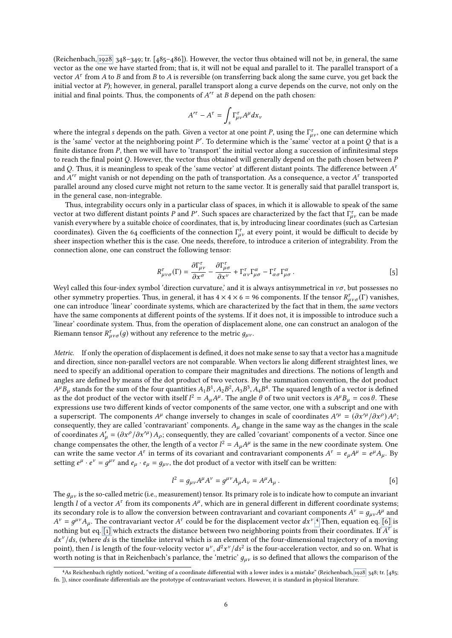(Reichenbach, [1928,](#page-20-1) 348–349; tr. [485–486]). However, the vector thus obtained will not be, in general, the same vector as the one we have started from; that is, it will not be equal and parallel to it. The parallel transport of a vector  $A^{\tau}$  from A to B and from B to A is reversible (on transferring back along the same curve, you get back the<br>initial vector at P); however in general, parallel transport along a curve depends on the curve, not on initial vector at P); however, in general, parallel transport along a curve depends on the curve, not only on the initial and final points. Thus, the components of  $A^{\prime\tau}$  at B depend on the path chosen:

$$
A^{\prime \tau}-A^{\tau}=\int_{s}\Gamma_{\mu\nu}^{\tau}A^{\mu}dx_{\nu}
$$

where the integral s depends on the path. Given a vector at one point P, using the  $\Gamma_{\mu\nu}^{\tau}$ , one can determine which<br>is the 'same' vector at the neighboring point P'. To determine which is the 'same' vector at a poi is the 'same' vector at the neighboring point P'. To determine which is the 'same' vector at a point Q that is a<br>finite distance from P, then we will have to 'transport' the initial vector along a succession of infinitesi finite distance from  $P$ , then we will have to 'transport' the initial vector along a succession of infinitesimal steps to reach the final point Q. However, the vector thus obtained will generally depend on the path chosen between P and Q. Thus, it is meaningless to speak of the 'same vector' at different distant points. The difference between  $A^T$ <br>and  $A^T$  might vanish or not depending on the path of transportation. As a consequence, a vector  $A^T$ and  $A^{\prime\tau}$  might vanish or not depending on the path of transportation. As a consequence, a vector  $A^{\tau}$  transported<br>parallel around any closed curve might not return to the same vector. It is generally said that par parallel around any closed curve might not return to the same vector. It is generally said that parallel transport is, in the general case, non-integrable.

Thus, integrability occurs only in a particular class of spaces, in which it is allowable to speak of the same vector at two different distant points P and P'. Such spaces are characterized by the fact that  $\Gamma^{\tau}_{\mu\nu}$  can be made<br>vanish everywhere by a suitable choice of coordinates, that is by introducing linear coordinates (s vanish everywhere by a suitable choice of coordinates, that is, by introducing linear coordinates (such as Cartesian coordinates). Given the 64 coefficients of the connection  $\Gamma^{\tau}_{\mu\nu}$  at every point, it would be difficult to decide by sheer inspection whether this is the case. One needs therefore to introduce a criterion of integra sheer inspection whether this is the case. One needs, therefore, to introduce a criterion of integrability. From the connection alone, one can construct the following tensor:

$$
R^{\tau}_{\mu\nu\sigma}(\Gamma) = \frac{\partial \Gamma^{\tau}_{\mu\nu}}{\partial x^{\sigma}} - \frac{\partial \Gamma^{\tau}_{\mu\sigma}}{\partial x^{\nu}} + \Gamma^{\tau}_{\alpha\nu} \Gamma^{\alpha}_{\mu\sigma} - \Gamma^{\tau}_{\alpha\sigma} \Gamma^{\alpha}_{\mu\sigma}.
$$

Weyl called this four-index symbol 'direction curvature,' and it is always antisymmetrical in νσ, but possesses no<br>other symmetry properties. Thus, in general, it has  $4 \times 4 \times 6 = 96$  components. If the tensor  $R^{\tau}$  (Γ) other symmetry properties. Thus, in general, it has  $4 \times 4 \times 6 = 96$  components. If the tensor  $R^{\tau}_{\mu\nu\sigma}(\Gamma)$  vanishes, one can introduce 'linear' coordinate systems, which are characterized by the fact that in them, th one can introduce 'linear' coordinate systems, which are characterized by the fact that in them, the same vectors have the same components at different points of the systems. If it does not, it is impossible to introduce such a 'linear' coordinate system. Thus, from the operation of displacement alone, one can construct an analogon of the Riemann tensor  $R^{\tau}_{\mu\nu\sigma}(g)$  without any reference to the metric  $g_{\mu\nu}$ .

Metric. If only the operation of displacement is defined, it does not make sense to say that a vector has a magnitude and direction, since non-parallel vectors are not comparable. When vectors lie along different straightest lines, we need to specify an additional operation to compare their magnitudes and directions. The notions of length and angles are defined by means of the dot product of two vectors. By the summation convention, the dot product  $A^r B_\mu$  stands for the sum of the four quantities  $A_1 B^r$ ,  $A_2 B^r$ ,  $A_3 B^r$ ,  $A_4 B^r$ <br>as the dot product of the vector with itself  $I^2 - A$ ,  $A^\mu$ . The angle  $\theta$  $^{\mu}B_{\mu}$  stands for the sum of the four quantities  $A_1B^1$ ,  $A_2B^2$ ,  $A_3B^3$ ,  $A_4B^4$ . The squared length of a vector is defined<br>at the dot product of the vector with itself  $I^2 - A$ ,  $A^{\mu}$ . The angle  $\theta$  of two as the dot product of the vector with itself  $l^2 = A_\mu A^\mu$ . The angle  $\theta$  of two unit vectors is  $A^\mu B_\mu = \cos \theta$ . These expressions use two different kinds of vector components of the same vector, one with a subscript and one with a superscript. The components  $A^{\mu}$  change inversely to changes in scale of coordinates  $A'^{\mu} = (\partial x'^{\mu}/\partial x^{\rho}) A^{\rho}$ ;<br>consequently they are called 'contravariant' components. A change in the same way as the changes in th consequently, they are called 'contravariant' components.  $A_\mu$  change in the same way as the changes in the scale of coordinates  $A'_\mu = (\partial x^\rho / \partial x'^\mu) A_\rho$ ; consequently, they are called 'covariant' components of a vector. Since one<br>change components the other the langth of a vector  $l^2 = A$ ,  $A^{\mu}$  is the same in the new coordinate gys change compensates the other, the length of a vector  $l^2 = A_{\mu}A^{\mu}$  is the same in the new coordinate system. One<br>can write the same vector  $A^{\tau}$  in terms of its covariant and contravariant components  $A^{\tau} = e^{-A\mu} = e^$ can write the same vector  $A^{\tau}$  in terms of its covariant and contravariant components  $A^{\tau} = e_{\mu}A^{\mu} = e^{\mu}A_{\mu}$ . By setting  $e^{\mu} \cdot e^{\nu} = g^{\mu \nu}$  and  $e_{\mu} \cdot e_{\mu} = g_{\mu \nu}$ , the dot product of a vector with itself can be written:

<span id="page-5-1"></span>
$$
q^{2} = g_{\mu\nu}A^{\mu}A^{\nu} = g^{\mu\nu}A_{\mu}A_{\nu} = A^{\mu}A_{\mu}.
$$

The  $q_{\mu\nu}$  is the so-called metric (i.e., measurement) tensor. Its primary role is to indicate how to compute an invariant length *l* of a vector  $A^{\tau}$  from its components  $A^{\mu}$ , which are in general different in different coordinate systems;<br>its secondary role is to allow the conversion between contravariant and covariant components  $A^{\$ its secondary role is to allow the conversion between contravariant and covariant components  $A^{\nu} = g_{\mu\nu}A^{\mu}$  and  $A^{\nu} = g^{\mu\nu}A$ . The contravariant vector  $A^{\tau}$  could be for the displacement vector  $dx^{\nu}$  4. Then nothing but eq. [\[1\]](#page-2-0) which extracts the distance between two neighboring points from their coordinates. If  $A^{\tau}$  is  $dx^{\nu}/ds$  (where ds is the timelike interval which is an element of the four-dimensional trajectory of a s secondary role is to allow the conversion between contravariant and covariant components  $A^{\nu} = g_{\mu\nu}A^{\mu}$  and  $A^{\nu} = g^{\mu\nu}A_{\mu}$ [.](#page-5-0) The contravariant vector  $A^{\tau}$  could be for the displacement vector  $dx^{\nu}$ .<sup>4</sup> T  $dx^{\nu}/ds$ , (where ds is the timelike interval which is an element of the four-dimensional trajectory of a moving<br>point), then Lis length of the four-velocity vector  $u^{\nu}$ ,  $d^2x^{\nu}/ds^2$  is the four-acceleration vector, a point), then l is length of the four-velocity vector  $u^{\nu}$ ,  $d^2x^{\nu}/ds^2$  is the four-acceleration vector, and so on. What is<br>worth noting is that in Reichenbach's parlance, the 'metric' qui is so defined that allows th worth noting is that in Reichenbach's parlance, the 'metric'  $g_{\mu\nu}$  is so defined that allows the comparison of the

<span id="page-5-0"></span><sup>&</sup>lt;sup>4</sup>As Reichenbach rightly noticed, "writing of a coordinate differential with a lower index is a mistake" (Reichenbach, [1928,](#page-20-1) 348; tr. [485; fn. ]), since coordinate differentials are the prototype of contravariant vectors. However, it is standard in physical literature.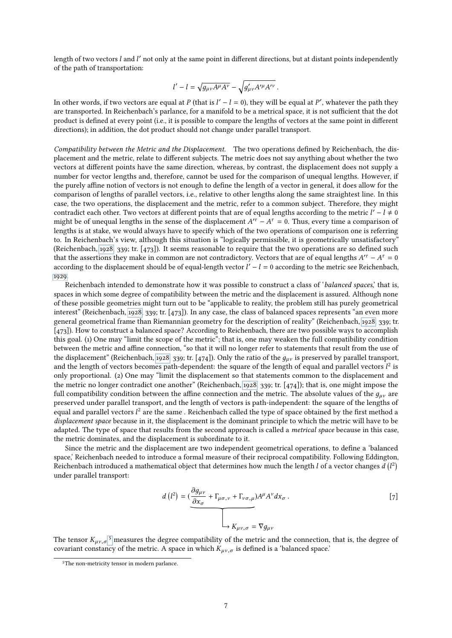length of two vectors  $l$  and  $l'$  not only at the same point in different directions, but at distant points independently<br>of the path of transportation: of the path of transportation:

$$
l'-l=\sqrt{g_{\mu\nu}A^{\mu}A^{\nu}}-\sqrt{g'_{\mu\nu}A'^{\mu}A'^{\nu}}.
$$

In other words, if two vectors are equal at P (that is  $l' - l = 0$ ), they will be equal at P', whatever the path they are transported. In Beichenbach's parlance, for a manifold to be a metrical space, it is not sufficient t are transported. In Reichenbach's parlance, for a manifold to be a metrical space, it is not sufficient that the dot product is defined at every point (i.e., it is possible to compare the lengths of vectors at the same point in different directions); in addition, the dot product should not change under parallel transport.

Compatibility between the Metric and the Displacement. The two operations defined by Reichenbach, the displacement and the metric, relate to different subjects. The metric does not say anything about whether the two vectors at different points have the same direction, whereas, by contrast, the displacement does not supply a number for vector lengths and, therefore, cannot be used for the comparison of unequal lengths. However, if the purely affine notion of vectors is not enough to define the length of a vector in general, it does allow for the comparison of lengths of parallel vectors, i.e., relative to other lengths along the same straightest line. In this case, the two operations, the displacement and the metric, refer to a common subject. Therefore, they might contradict each other. Two vectors at different points that are of equal lengths according to the metric  $l' - l \neq 0$ <br>might be of unequal lengths in the sense of the displacement  $A'^{r} - A^{r} = 0$ . Thus, every time a compari might be of unequal lengths in the sense of the displacement  $A^{rT} - A^{T} = 0$ . Thus, every time a comparison of the law operations of comparison one is referring lengths is at stake, we would always have to specify which of the two operations of comparison one is referring to. In Reichenbach's view, although this situation is "logically permissible, it is geometrically unsatisfactory" (Reichenbach, [1928,](#page-20-1) 339; tr. [473]). It seems reasonable to require that the two operations are so defined such that the assertions they make in common are not contradictory. Vectors that are of equal lengths  $A^{r\tau} - A^{\tau} = 0$ <br>according to the displacement should be of equal-length vector  $I' - I = 0$  according to the metric see Reich according to the displacement should be of equal-length vector  $l' - l = 0$  according to the metric see Reichenbach, [1929.](#page-20-20)

Reichenbach intended to demonstrate how it was possible to construct a class of 'balanced spaces,' that is, spaces in which some degree of compatibility between the metric and the displacement is assured. Although none of these possible geometries might turn out to be "applicable to reality, the problem still has purely geometrical interest" (Reichenbach, [1928,](#page-20-1) 339; tr. [473]). In any case, the class of balanced spaces represents "an even more general geometrical frame than Riemannian geometry for the description of reality" (Reichenbach, [1928,](#page-20-1) 339; tr. [473]). How to construct a balanced space? According to Reichenbach, there are two possible ways to accomplish this goal. (1) One may "limit the scope of the metric"; that is, one may weaken the full compatibility condition between the metric and affine connection, "so that it will no longer refer to statements that result from the use of the displacement" (Reichenbach, [1928,](#page-20-1) 339; tr. [474]). Only the ratio of the  $g_{\mu\nu}$  is preserved by parallel transport, and the length of vectors becomes path-dependent: the square of the length of equal and parallel vectors  $l^2$  is<br>only proportional. (a) One may "limit the displacement so that statements common to the displacement and only proportional. (2) One may "limit the displacement so that statements common to the displacement and the metric no longer contradict one another" (Reichenbach, [1928,](#page-20-1) 339; tr. [474]); that is, one might impose the full compatibility condition between the affine connection and the metric. The absolute values of the  $q_{\mu\nu}$  are preserved under parallel transport, and the length of vectors is path-independent: the square of the lengths of equal and parallel vectors  $l^2$  are the same. Reichenbach called the type of space obtained by the first method a *displacement space* because in it, the displacement is the dominant principle to which the metric will ha displacement space because in it, the displacement is the dominant principle to which the metric will have to be adapted. The type of space that results from the second approach is called a metrical space because in this case, the metric dominates, and the displacement is subordinate to it.

Since the metric and the displacement are two independent geometrical operations, to define a 'balanced space,' Reichenbach needed to introduce a formal measure of their reciprocal compatibility. Following Eddington, Reichenbach introduced a mathematical object that determines how much the length  $l$  of a vector changes  $d$  (<br>under parallel transport: 2 under parallel transport:

$$
d(l^2) = \underbrace{(\frac{\partial g_{\mu\nu}}{\partial x_{\sigma}} + \Gamma_{\mu\sigma,\nu} + \Gamma_{\nu\sigma,\mu})A^{\mu}A^{\nu}dx_{\sigma}}_{K_{\mu\nu,\sigma} = \nabla g_{\mu\nu}}.
$$
 [7]

The tensor  $K_{\mu\nu,\sigma}$ <sup>5</sup> measures the degree compatibility of the metric and the connection, that is, the degree of covariant consta[ncy](#page-6-0) of the metric. A space in which  $K_{\mu\nu,\sigma}$  is defined is a 'balanced space.'

<span id="page-6-0"></span><sup>&</sup>lt;sup>5</sup>The non-metricity tensor in modern parlance.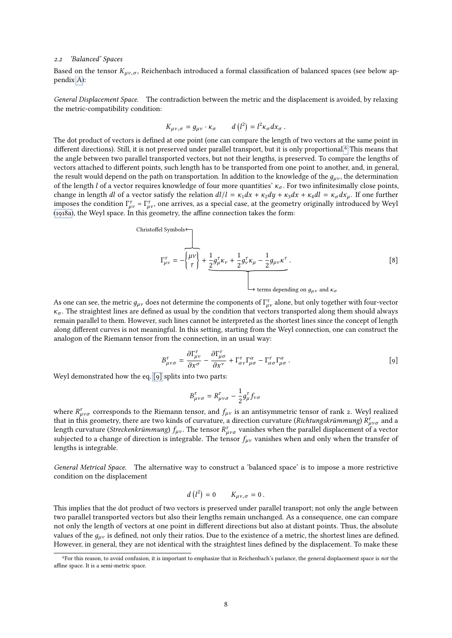#### 2.2 'Balanced' Spaces

Based on the tensor  $K_{\mu\nu,\sigma}$ , Reichenbach introduced a formal classification of balanced spaces (see below appendix [A\)](#page-18-0):

General Displacement Space. The contradiction between the metric and the displacement is avoided, by relaxing the metric-compatibility condition:

$$
K_{\mu\nu,\sigma}=g_{\mu\nu}\cdot\kappa_{\sigma}\qquad d\left(l^2\right)=l^2\kappa_{\sigma}dx_{\sigma}.
$$

The dot product of vectors is defined at one point (one can compare the length of two vectors at the same point in different directions)[.](#page-7-0) Still, it is not preserved under parallel transport, but it is only proportional.<sup>6</sup> This means that the angle between two parallel transported vectors, but not their lengths, is preserved. To compare the lengths of vectors attached to different points, such length has to be transported from one point to another, and, in general, the result would depend on the path on transportation. In addition to the knowledge of the  $g_{\mu\nu}$ , the determination of the length l of a vector requires knowledge of four more quantities'  $\kappa_{\sigma}$ . For two infinitesimally close points, change in length dl of a vector satisfy the relation  $dl/l = \kappa_1 dx + \kappa_2 dy + \kappa_3 dx + \kappa_4 dl = \kappa_\sigma dx_\mu$ . If one further imposes the condition  $\Gamma^{\tau}_{\mu\nu} = \Gamma^{\tau}_{\mu\nu}$ , one arrives, as a special case, at the geometry originally introduced by Weyl [\(1918a\)](#page-20-5), the Weyl space. In this geometry, the affine connection takes the form:

<span id="page-7-2"></span>Christoffel Symbols  
\n
$$
\Gamma^{\tau}_{\mu\nu} = -\left\{\begin{matrix} \mu\nu \\ \tau \end{matrix}\right\} + \underbrace{\frac{1}{2}g^{\tau}_{\mu}\kappa_{\nu} + \frac{1}{2}g^{\tau}_{\nu}\kappa_{\mu} - \frac{1}{2}g_{\mu\nu}\kappa^{\tau}}_{\text{terms depending on } g_{\mu\nu} \text{ and } \kappa_{\sigma}} \tag{8}
$$

As one can see, the metric  $g_{\mu\nu}$  does not determine the components of  $\Gamma^{\tau}_{\mu\nu}$  alone, but only together with four-vector  $\kappa$ . The straightest lines are defined as usual by the condition that vectors transported  $\kappa_{\sigma}$ . The straightest lines are defined as usual by the condition that vectors transported along them should always remain parallel to them. However, such lines cannot be interpreted as the shortest lines since the concept of length along different curves is not meaningful. In this setting, starting from the Weyl connection, one can construct the analogon of the Riemann tensor from the connection, in an usual way:

<span id="page-7-1"></span>
$$
B^{\tau}_{\mu\nu\sigma} = \frac{\partial \Gamma^{\tau}_{\mu\nu}}{\partial x^{\sigma}} - \frac{\partial \Gamma^{\tau}_{\mu\sigma}}{\partial x^{\nu}} + \Gamma^{\tau}_{\alpha\nu} \Gamma^{\alpha}_{\mu\sigma} - \Gamma^{\tau}_{\alpha\sigma} \Gamma^{\alpha}_{\mu\sigma}.
$$
 [9]

∂x ∂x Weyl demonstrated how the eq. [\[9\]](#page-7-1) splits into two parts:

$$
B^{\tau}_{\mu\nu\sigma} = R^{\tau}_{\mu\nu\sigma} - \frac{1}{2} g^{\tau}_{\mu} f_{\nu\sigma}
$$

where  $R_{\mu\nu\sigma}^{\tau}$  corresponds to the Riemann tensor, and  $f_{\mu\nu}$  is an antisymmetric tensor of rank 2. Weyl realized<br>that in this geometry there are two kinds of curvature a direction curvature (*Richtungskrümmung*) that in this geometry, there are two kinds of curvature, a direction curvature (*Richtungskrümmung*)  $R_{\mu\nu\sigma}^{\tau}$  and a vector  $R^{\tau}$  with the parallel displacement of a vector length curvature (*Streckenkrümmung*)  $f$ length curvature (*Streckenkrümmung*)  $f_{\mu\nu}$ . The tensor  $R^{\tau}_{\mu\nu\sigma}$  vanishes when the parallel displacement of a vector<br>subjected to a change of direction is integrable. The tensor functions when and only when the subjected to a change of direction is integrable. The tensor  $f_{\mu\nu}$  vanishes when and only when the transfer of lengths is integrable.

General Metrical Space. The alternative way to construct a 'balanced space' is to impose a more restrictive condition on the displacement

$$
d\left(l^2\right)=0\qquad K_{\mu\nu,\sigma}=0\,.
$$

This implies that the dot product of two vectors is preserved under parallel transport; not only the angle between two parallel transported vectors but also their lengths remain unchanged. As a consequence, one can compare not only the length of vectors at one point in different directions but also at distant points. Thus, the absolute values of the  $q_{uv}$  is defined, not only their ratios. Due to the existence of a metric, the shortest lines are defined. However, in general, they are not identical with the straightest lines defined by the displacement. To make these

<span id="page-7-0"></span><sup>&</sup>lt;sup>6</sup>For this reason, to avoid confusion, it is important to emphasize that in Reichenbach's parlance, the general displacement space is not the affine space. It is a semi-metric space.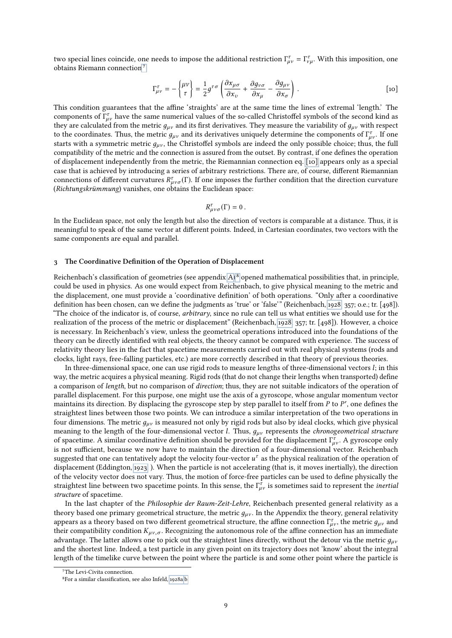two special lines coincide, one needs to impose the additional restriction  $\Gamma_{\mu\nu}^{\tau} = \Gamma_{\nu\mu}^{\tau}$ . With this imposition, one obtains Riemann connection<sup>7</sup>[:](#page-8-0)

<span id="page-8-1"></span>
$$
\Gamma^{\tau}_{\mu\nu} = -\left\{\begin{matrix} \mu\nu \\ \tau \end{matrix}\right\} = \frac{1}{2} g^{\tau\sigma} \left( \frac{\partial x_{\mu\sigma}}{\partial x_{\nu}} + \frac{\partial g_{\nu\sigma}}{\partial x_{\mu}} - \frac{\partial g_{\mu\nu}}{\partial x_{\sigma}} \right) . \tag{10}
$$

This condition guarantees that the affine 'straights' are at the same time the lines of extremal 'length.' The components of  $\Gamma^{\tau}_{\mu\nu}$  have the same numerical values of the so-called Christoffel symbols of the second kind as<br>they are calculated from the metric quantity first derivatives. They measure the variability of quantit they are calculated from the metric  $g_{\mu\nu}$  and its first derivatives. They measure the variability of  $g_{\mu\nu}$  with respect to the coordinates. Thus, the metric  $g_{\mu\nu}$  and its derivatives uniquely determine the components of  $\Gamma_{\mu\nu}^{\tau}$ . If one starts with a symmetric metric  $g_{\mu\nu}$  the Christoffel symbols are indeed the only possible starts with a symmetric metric  $g_{\mu\nu}$ , the Christoffel symbols are indeed the only possible choice; thus, the full compatibility of the metric and the connection is assured from the outset. By contrast, if one defines the operation of displacement independently from the metric, the Riemannian connection eq. [\[10\]](#page-8-1) appears only as a special case that is achieved by introducing a series of arbitrary restrictions. There are, of course, different Riemannian connections of different curvatures  $R^{\tau}_{\mu\nu\sigma}(\Gamma)$ . If one imposes the further condition that the direction curvature  $(Richtunaskriimmun\sigma)$  vanishes, one obtains the Euclidean space: (Richtungskrümmung) vanishes, one obtains the Euclidean space:

$$
R^{\tau}_{\mu\nu\sigma}(\Gamma)=0.
$$

In the Euclidean space, not only the length but also the direction of vectors is comparable at a distance. Thus, it is meaningful to speak of the same vector at different points. Indeed, in Cartesian coordinates, two vectors with the same components are equal and parallel.

#### <span id="page-8-3"></span>3 The Coordinative Definition of the Operation of Displacement

Reichenbach's classification of geometries (see appendix [A\)](#page-18-0)<sup>8</sup> opened mathematical possibilities that, in principle, could be used in physics. As one would expect from Reichenbach, to give physical meaning to the metric and the displacement, one must provide a 'coordinative definition' of both operations. "Only after a coordinative definition has been chosen, can we define the judgments as 'true' or 'false'" (Reichenbach, [1928,](#page-20-1) 357; o.e.; tr. [498]). "The choice of the indicator is, of course, *arbitrary*, since no rule can tell us what entities we should use for the realization of the process of the metric or displacement" (Reichenbach, [1928,](#page-20-1) 357; tr. [498]). However, a choice is necessary. In Reichenbach's view, unless the geometrical operations introduced into the foundations of the theory can be directly identied with real objects, the theory cannot be compared with experience. The success of relativity theory lies in the fact that spacetime measurements carried out with real physical systems (rods and clocks, light rays, free-falling particles, etc.) are more correctly described in that theory of previous theories.

In three-dimensional space, one can use rigid rods to measure lengths of three-dimensional vectors l; in this way, the metric acquires a physical meaning. Rigid rods (that do not change their lengths when transported) define a comparison of length, but no comparison of direction; thus, they are not suitable indicators of the operation of parallel displacement. For this purpose, one might use the axis of a gyroscope, whose angular momentum vector maintains its direction. By displacing the gyroscope step by step parallel to itself from  $P$  to  $P'$ , one defines the straightest lines between those two points. We can introduce a similar interpretation of the two opera straightest lines between those two points. We can introduce a similar interpretation of the two operations in four dimensions. The metric  $q_{\mu\nu}$  is measured not only by rigid rods but also by ideal clocks, which give physical meaning to the length of the four-dimensional vector *l*. Thus,  $g_{\mu\nu}$  represents the *chronogeometrical structure* of spacetime. A similar coordinative definition should be provided for the displacement  $\Gamma^{\tau}_{\mu\nu}$ . A gyroscope only is not sufficient, because we now have to maintain the direction of a four-dimensional vector. Reiche is not sufficient, because we now have to maintain the direction of a four-dimensional vector. Reichenbach suggested that one can tentatively adopt the velocity four-vector  $u^{\tau}$  as the physical realization of the operation of displacement (Eddington, 1922.) When the particle is not accelerating (that is it moves inertially) displacement (Eddington, [1923,](#page-19-9) ). When the particle is not accelerating (that is, it moves inertially), the direction of the velocity vector does not vary. Thus, the motion of force-free particles can be used to define physically the straightest line between two spacetime points. In this sense, the  $\Gamma^{\tau}_{\mu\nu}$  is sometimes said to represent the *inertial* structure of spacetime structure of spacetime.

In the last chapter of the Philosophie der Raum-Zeit-Lehre, Reichenbach presented general relativity as a theory based one primary geometrical structure, the metric  $g_{\mu\nu}$ . In the Appendix the theory, general relativity appears as a theory based on two different geometrical structure, the affine connection  $\Gamma_{\mu\nu}^{\tau}$ , the metric  $g_{\mu\nu}$  and their connection  $K$  . Recognizing the autonomous role of the affine connection has an immed their compatibility condition  $K_{\mu\nu,\sigma}$ . Recognizing the autonomous role of the affine connection has an immediate advantage. The latter allows one to pick out the straightest lines directly, without the detour via the metric  $g_{\mu\nu}$ and the shortest line. Indeed, a test particle in any given point on its trajectory does not 'know' about the integral length of the timelike curve between the point where the particle is and some other point where the particle is 7

<span id="page-8-0"></span><sup>&</sup>lt;sup>7</sup>The Levi-Civita connection.

<span id="page-8-2"></span><sup>&</sup>lt;sup>8</sup>For a similar classification, see also Infeld, [1928a](#page-20-21)[,b.](#page-20-22)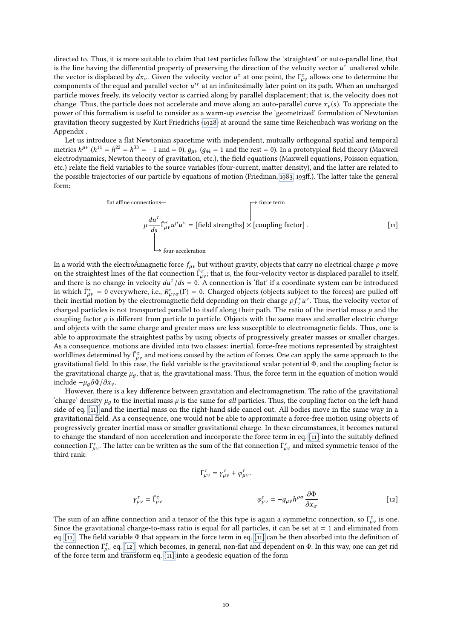directed to. Thus, it is more suitable to claim that test particles follow the 'straightest' or auto-parallel line, that is the line having the differential property of preserving the direction of the velocity vector  $u^{\tau}$  unaltered while<br>the vector is displaced by dx. Given the velocity vector  $u^{\tau}$  at one point, the  $\Gamma^{\tau}$  allows on the vector is displaced by  $dx_{\nu}$ . Given the velocity vector  $u^{\tau}$  at one point, the  $\Gamma_{\mu\nu}^{\tau}$  allows one to determine the components of the equal and parallel vector  $u'^{\tau}$  at an infinitesimally later point on i components of the equal and parallel vector  $u^{\prime\tau}$  at an infinitesimally later point on its path. When an uncharged<br>particle moves freely its velocity vector is carried along by parallel displacement; that is the veloc particle moves freely, its velocity vector is carried along by parallel displacement; that is, the velocity does not change. Thus, the particle does not accelerate and move along an auto-parallel curve  $x_v(s)$ . To appreciate the power of this formalism is useful to consider as a warm-up exercise the 'geometrized' formulation of Newtonian gravitation theory suggested by Kurt Friedrichs [\(1928\)](#page-19-3) at around the same time Reichenbach was working on the Appendix .

Let us introduce a flat Newtonian spacetime with independent, mutually orthogonal spatial and temporal metrics  $h^{\mu\nu}$  ( $h^{11} = h^{22} = h^{33} = -1$  and  $= 0$ ),  $g_{\mu\nu}$  ( $g_{44} = 1$  and the rest  $= 0$ ). In a prototypical field theory (Maxwell) electrodynamics. Newton theory of gravitation, etc.) the field equations (Maxwell e electrodynamics, Newton theory of gravitation, etc.), the field equations (Maxwell equations, Poisson equation, etc.) relate the field variables to the source variables (four-current, matter density), and the latter are related to the possible trajectories of our particle by equations of motion (Friedman, [1983,](#page-19-11) 193ff.). The latter take the general form:

<span id="page-9-0"></span>flat affine connection  
\n
$$
\mu \frac{du^{\tau}}{ds} \overrightarrow{\Gamma_{\mu\nu}^{\tau}} u^{\mu} u^{\nu} = [\text{field strengths}] \times [\text{coupling factor}] .
$$
\n
$$
\downarrow \qquad \qquad [\text{11}]
$$
\n
$$
\downarrow \qquad \qquad \downarrow \qquad \qquad [\text{22}]
$$

In a world with the electroÂmagnetic force  $f_{\mu\nu}$  but without gravity, objects that carry no electrical charge  $\rho$  move on the straightest lines of the flat connection  $\overline{\Gamma}_{\mu\nu}^{\tau}$ ; that is, the four-velocity vector is displaced parallel to itself, and there is no change in velocity  $du^{\tau}/ds = 0$ . A connection is 'flat' if a coordinate and there is no change in velocity  $du^{\tau}/ds = 0$ . A connection is 'flat' if a coordinate system can be introduced<br>in which  $\bar{\Gamma}^{\tau} = 0$  everywhere i.e.  $R^{\tau}$  (F) = 0. Charged objects (objects subject to the forces) are in which  $\overline{\Gamma}_{\mu\nu}^{\tau} = 0$  everywhere, i.e.,  $R_{\mu\nu\sigma}^{\tau}(\Gamma) = 0$ . Charged objects (objects subject to the forces) are pulled off the interval motion by the electromagnetic field depending on their charge of  $\overline{f}u^$ their inertial motion by the electromagnetic field depending on their charge  $\rho f_v^{\tau} u^{\nu}$ . Thus, the velocity vector of charged particles is not transported parallel to itself along their path. The ratio of the inertia Then there is not transported parallel to itself along their path. The ratio of the inertial mass  $\mu$  and the counting factor as different from particle to particle. Objects with the same mass and smaller electric charge coupling factor  $\rho$  is different from particle to particle. Objects with the same mass and smaller electric charge and objects with the same charge and greater mass are less susceptible to electromagnetic fields. Thus, one is able to approximate the straightest paths by using objects of progressively greater masses or smaller charges. As a consequence, motions are divided into two classes: inertial, force-free motions represented by straightest worldlines determined by  $\overline{\Gamma}_{\mu\nu}^{\tau}$  and motions caused by the action of forces. One can apply the same approach to the gravitational field. In this case, the field variable is the gravitational scalar potential  $\Phi$ gravitational field. In this case, the field variable is the gravitational scalar potential Φ, and the coupling factor is the gravitational charge  $\mu_a$ , that is, the gravitational mass. Thus, the force term in the equation of motion would include  $-\mu_a \partial \Phi / \partial x_v$ .

However, there is a key difference between gravitation and electromagnetism. The ratio of the gravitational 'charge' density  $\mu_q$  to the inertial mass  $\mu$  is the same for all particles. Thus, the coupling factor on the left-hand side of eq. [\[11\]](#page-9-0) and the inertial mass on the right-hand side cancel out. All bodies move in the same way in a gravitational field. As a consequence, one would not be able to approximate a force-free motion using objects of progressively greater inertial mass or smaller gravitational charge. In these circumstances, it becomes natural to change the standard of non-acceleration and incorporate the force term in eq. [\[11\]](#page-9-0) into the suitably defined connection  $\Gamma^{\tau}_{\mu\nu}$ . The latter can be written as the sum of the flat connection  $\bar{\Gamma}^{\tau}_{\mu\nu}$  and mixed symmetric tensor of the third rank. third rank:

<span id="page-9-1"></span>
$$
\Gamma^{\tau}_{\mu\nu} = \gamma^{\tau}_{\mu\nu} + \varphi^{\tau}_{\mu\nu}.
$$
\n
$$
\varphi^{\tau}_{\mu\nu} = -g_{\mu\nu}h^{\rho\sigma}\frac{\partial\Phi}{\partial x_{\sigma}}
$$
\n[12]

The sum of an affine connection and a tensor of the this type is again a symmetric connection, so  $\Gamma_{\mu\nu}^{\tau}$  is one.<br>Since the gravitational charge-to-mass ratio is equal for all particles, it can be set at  $= 1$  and Since the gravitational charge-to-mass ratio is equal for all particles, it can be set at  $= 1$  and eliminated from eq. [\[11\].](#page-9-0) The field variable  $\Phi$  that appears in the force term in eq. [\[11\]](#page-9-0) can be then absorbed into the definition of the connection  $\Gamma^{\tau}_{\mu\nu}$  eq. [\[12\],](#page-9-1) which becomes, in general, non-flat and dependent on Φ. In this way, one can get rid<br>of the force term and transform eq. [11] into a geodesic equation of the form of the force term and transform eq. [\[11\]](#page-9-0) into a geodesic equation of the form

γ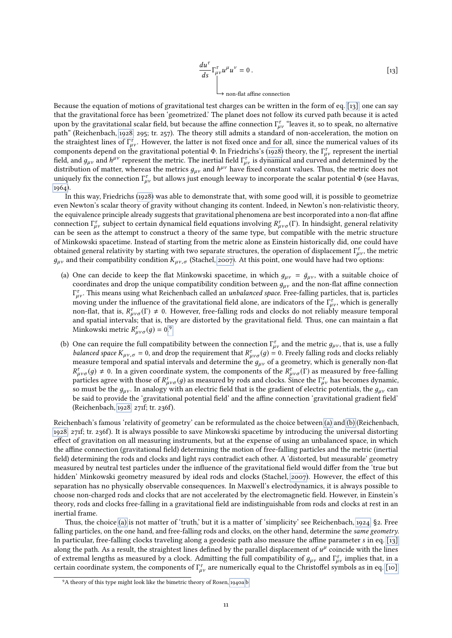<span id="page-10-0"></span>
$$
\frac{du^{\tau}}{ds} \Gamma^{\tau}_{\mu\nu} u^{\mu} u^{\nu} = 0.
$$
\n[13]\n
$$
\downarrow
$$
 non-flat affine connection

Because the equation of motions of gravitational test charges can be written in the form of eq. [\[13\],](#page-10-0) one can say that the gravitational force has been 'geometrized.' The planet does not follow its curved path because it is acted upon by the gravitational scalar field, but because the affine connection  $\Gamma^{\tau}_{\mu\nu}$  "leaves it, so to speak, no alternative<br>path" (Beichenbach, 1928, 295; tr. 257). The theory still admits a standard of non-accelerati path" (Reichenbach, [1928,](#page-20-1) 295; tr. 257). The theory still admits a standard of non-acceleration, the motion on the straightest lines of  $\Gamma_{\mu\nu}^{\tau}$ . However, the latter is not fixed once and for all, since the numerical values of its<br>components depend on the gravitational potential  $\Phi$ . In Friedrichs's (1028) theory, the  $\Gamma^{\$ components depend on the gravitational potential  $\Phi$ . In Friedrichs's [\(1928\)](#page-19-3) theory, the  $\Gamma^{\tau}_{\mu\nu}$  represent the inertial<br>field and a sand  $h^{\mu\nu}$  represent the metric. The inertial field  $\Gamma^{\tau}$  is dynamical and field, and  $g_{\mu\nu}$  and  $h^{\mu\nu}$  represent the metric. The inertial field  $\Gamma^{\tau}_{\mu\nu}$  is dynamical and curved and determined by the distribution of matter, whereas the metrics  $g_{\mu\nu}$  and  $h^{\mu\nu}$  have fixed consta distribution of matter, whereas the metrics  $g_{\mu\nu}$  and  $h^{\mu\nu}$  have fixed constant values. Thus, the metric does not uniquely fix the connection  $\Gamma^{\tau}$  but allows just enough leeway to incorporate the scalar potent uniquely fix the connection  $\Gamma^{\tau}_{\mu\nu}$  but allows just enough leeway to incorporate the scalar potential Φ (see Havas, [1964\)](#page-20-23).

In this way, Friedrichs [\(1928\)](#page-19-3) was able to demonstrate that, with some good will, it is possible to geometrize even Newton's scalar theory of gravity without changing its content. Indeed, in Newton's non-relativistic theory, the equivalence principle already suggests that gravitational phenomena are best incorporated into a non-flat affine connection  $\Gamma_{\mu\nu}^{\tau}$  subject to certain dynamical field equations involving  $R_{\mu\nu\sigma}^{\tau}(\Gamma)$ . In hindsight, general relativity can be seen as the attempt to construct a theory of the same type, but compatible with can be seen as the attempt to construct a theory of the same type, but compatible with the metric structure of Minkowski spacetime. Instead of starting from the metric alone as Einstein historically did, one could have obtained general relativity by starting with two separate structures, the operation of displacement  $\Gamma_{\mu\nu}^{\tau}$ , the metric  $a_{\mu\nu}$  and their compatibility condition  $K$  (Stachel 2007) At this point, one would have h  $g_{\mu\nu}$  and their compatibility condition  $K_{\mu\nu,\sigma}$  (Stachel, [2007\)](#page-20-24). At this point, one would have had two options:

- <span id="page-10-2"></span>(a) One can decide to keep the flat Minkowski spacetime, in which  $g_{\mu\nu} = \bar{g}_{\mu\nu}$ , with a suitable choice of coordinates and drop the unique compatibility condition between  $q_{\mu\nu}$  and the non-flat affine connection *πριστεύες προσπέλει το προσπέλει το προσπέλει το προσπέλει της προσπέλεις στη προσπέληση προσπέλει της προσπέλ*<br>που flat that is  $R^{\tau}$  (Γ) + 0. However free-falling rods and clocks do not reliably measure temporal  $\psi^{\tau}_{\mu\nu}$ . This means using what Reichenbach called an *unbalanced space*. Free-falling particles, that is, particles non-flat, that is,  $R_{\mu\nu\sigma}^{\tau}(\Gamma) \neq 0$ . However, free-falling rods and clocks do not reliably measure temporal<br>and spatial intervals: that is, they are distorted by the gravitational field. Thus, one can maintain a fl and spatial intervals; that is, they are distorted by the gravitational field. Thus, one can maintain a flat Minkowski metric  $R^i_\mu$ s; that is, the<br>  $\mu_{\nu\sigma}(g) = 0.9$  $\mu_{\nu\sigma}(g) = 0.9$  $\mu_{\nu\sigma}(g) = 0.9$
- <span id="page-10-3"></span>(b) One can require the full compatibility between the connection  $\Gamma^{\tau}_{\mu\nu}$  and the metric  $g_{\mu\nu}$ , that is, use a fully between the requirement that  $R^{\tau}$  (a) – 0. Freely falling rods and clocks reliably balanced space  $K_{\mu\nu,\sigma} = 0$ , and drop the requirement that  $R^{\tau}_{\mu\nu\sigma}(g) = 0$ . Freely falling rods and clocks reliably<br>measure temporal and spatial intervals and determine the quality of a geometry which is generally n measure temporal and spatial intervals and determine the  $g_{\mu\nu}$  of a geometry, which is generally non-flat production agree with those of  $R_{\mu\nu\sigma}^{\tau}(g)$  as measured by rods and clocks. Since the  $\Gamma_{\mu\nu}^{\tau}$  has becomes dynamic,  $\tau_{\mu\nu\sigma}(g) \neq 0$ . In a given coordinate system, the components of the  $R^{\tau}_{\mu\nu\sigma}(\Gamma)$  as measured by free-falling arriveles agree with those of  $R^{\tau}$ . (a) as measured by rods and clocks. Since the  $\Gamma^{\tau}$  has beco so must be the  $g_{\mu\nu}$ . In analogy with an electric field that is the gradient of electric potentials, the  $g_{\mu\nu}$  can be said to provide the 'gravitational potential field' and the affine connection 'gravitational gradient field' (Reichenbach, [1928,](#page-20-1) 271f; tr. 236f).

Reichenbach's famous 'relativity of geometry' can be reformulated as the choice between [\(a\)](#page-10-2) and [\(b\)](#page-10-3) (Reichenbach, [1928,](#page-20-1) 271f; tr. 236f). It is always possible to save Minkowski spacetime by introducing the universal distorting effect of gravitation on all measuring instruments, but at the expense of using an unbalanced space, in which the affine connection (gravitational field) determining the motion of free-falling particles and the metric (inertial field) determining the rods and clocks and light rays contradict each other. A 'distorted, but measurable' geometry measured by neutral test particles under the influence of the gravitational field would differ from the 'true but hidden' Minkowski geometry measured by ideal rods and clocks (Stachel, [2007\)](#page-20-24). However, the effect of this separation has no physically observable consequences. In Maxwell's electrodynamics, it is always possible to choose non-charged rods and clocks that are not accelerated by the electromagnetic field. However, in Einstein's theory, rods and clocks free-falling in a gravitational field are indistinguishable from rods and clocks at rest in an inertial frame.

Thus, the choice [\(a\)](#page-10-2) is not matter of 'truth,' but it is a matter of 'simplicity' see Reichenbach, [1924,](#page-20-25) §2. Free falling particles, on the one hand, and free-falling rods and clocks, on the other hand, determine the same geometry. In particular, free-falling clocks traveling along a geodesic path also measure the affine parameter  $s$  in eq. [\[13\]](#page-10-0) along the path. As a result, the straightest lines defined by the parallel displacement of  $u^{\mu}$  coincide with the lines<br>of extremal lengths as measured by a clock. Admitting the full compatibility of a sand  $\Gamma^{\tau}$  im of extremal lengths as measured by a clock. Admitting the full compatibility of  $g_{\mu\nu}$  and  $\Gamma^{\tau}_{\mu\nu}$  implies that, in a<br>certain coordinate system, the components of  $\Gamma^{\tau}$  are numerically equal to the Christoffel certain coordinate system, the components of  $\Gamma^{\tau}_{\mu\nu}$  are numerically equal to the Christoffel symbols as in eq. [\[10\].](#page-8-1)

<span id="page-10-1"></span><sup>&</sup>lt;sup>9</sup>A theory of this type might look like the bimetric theory of Rosen, [1940a,](#page-20-26)[b.](#page-20-27)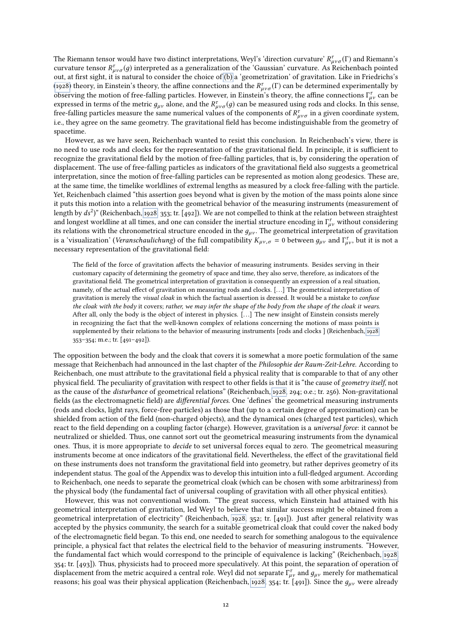The Riemann tensor would have two distinct interpretations, Weyl's 'direction curvature'  $R^{\tau}_{\mu\nu\sigma}(\Gamma)$  and Riemann's<br>curvature tensor  $R^{\tau}$  (a) interpreted as a generalization of the 'Gaussian' curvature. As Reichen curvature tensor  $R^{\tau}_{\mu\nu\sigma}(g)$  interpreted as a generalization of the 'Gaussian' curvature. As Reichenbach pointed<br>out at first sight, it is natural to consider the choice of (b) a 'geometrization' of gravitation. Like out, at first sight, it is natural to consider the choice of [\(b\)](#page-10-3) a 'geometrization' of gravitation. Like in Friedrichs's [\(1928\)](#page-19-3) theory, in Einstein's theory, the affine connections and the  $R^{\tau}_{\mu\nu\sigma}(\Gamma)$  can be determined experimentally by observing the motion of free-falling particles. However, in Einstein's theory, the affine connectio observing the motion of free-falling particles. However, in Einstein's theory, the affine connections  $\Gamma_{\mu\nu}^{\tau}$  can be expressed in terms of the metric  $a_{\mu\nu}$  alone, and the  $R^{\tau}$  (a) can be measured using rods expressed in terms of the metric  $g_{\mu\nu}$  alone, and the  $R^{\tau}_{\mu\nu\sigma}(g)$  can be measured using rods and clocks. In this sense,<br>free-falling particles measure the same numerical values of the components of  $R^{\tau}$  in a g free-falling particles measure the same numerical values of the components of  $R^{\tau}_{\mu\nu\sigma}$  in a given coordinate system,<br>i.e., they agree on the same geometry. The gravitational field has become indictinguishable from t i.e., they agree on the same geometry. The gravitational field has become indistinguishable from the geometry of spacetime.

However, as we have seen, Reichenbach wanted to resist this conclusion. In Reichenbach's view, there is no need to use rods and clocks for the representation of the gravitational field. In principle, it is sufficient to recognize the gravitational field by the motion of free-falling particles, that is, by considering the operation of displacement. The use of free-falling particles as indicators of the gravitational field also suggests a geometrical interpretation, since the motion of free-falling particles can be represented as motion along geodesics. These are, at the same time, the timelike worldlines of extremal lengths as measured by a clock free-falling with the particle. Yet, Reichenbach claimed "this assertion goes beyond what is given by the motion of the mass points alone since it puts this motion into a relation with the geometrical behavior of the measuring instruments (measurement of length by  $ds^2$ )" (Reichenbach, [1928,](#page-20-1) 353; tr. [492]). We are not compelled to think at the relation between straightest<br>and longest worldline at all times, and one can consider the inertial structure encoding in  $\Gamma^{\tau}$ and longest worldline at all times, and one can consider the inertial structure encoding in  $\Gamma^{\tau}_{\mu\nu}$  without considering<br>its relations with the chronometrical structure encoded in the a. The geometrical interpretatio its relations with the chronometrical structure encoded in the  $g_{\mu\nu}$ . The geometrical interpretation of gravitation is a 'visualization' (*Veranschaulichung*) of the full compatibility  $K_{\mu\nu,\sigma} = 0$  between  $g_{\mu\nu}$  and  $\Gamma^{\tau}_{\mu\nu}$ , but it is not a necessary representation of the gravitational field: necessary representation of the gravitational field:

The field of the force of gravitation affects the behavior of measuring instruments. Besides serving in their customary capacity of determining the geometry of space and time, they also serve, therefore, as indicators of the gravitational field. The geometrical interpretation of gravitation is consequently an expression of a real situation, namely, of the actual effect of gravitation on measuring rods and clocks. [...] The geometrical interpretation of gravitation is merely the visual cloak in which the factual assertion is dressed. It would be a mistake to confuse the cloak with the body it covers; rather, we may infer the shape of the body from the shape of the cloak it wears. After all, only the body is the object of interest in physics. [. . .] The new insight of Einstein consists merely in recognizing the fact that the well-known complex of relations concerning the motions of mass points is supplemented by their relations to the behavior of measuring instruments [rods and clocks ] (Reichenbach, [1928,](#page-20-1) 353–354; m.e.; tr. [491–492]).

The opposition between the body and the cloak that covers it is somewhat a more poetic formulation of the same message that Reichenbach had announced in the last chapter of the Philosophie der Raum-Zeit-Lehre. According to Reichenbach, one must attribute to the gravitational field a physical reality that is comparable to that of any other physical field. The peculiarity of gravitation with respect to other fields is that it is "the cause of geometry itself, not as the cause of the disturbance of geometrical relations" (Reichenbach, [1928,](#page-20-1) 294; o.e.; tr. 256). Non-gravitational fields (as the electromagnetic field) are differential forces. One 'defines' the geometrical measuring instruments (rods and clocks, light rays, force-free particles) as those that (up to a certain degree of approximation) can be shielded from action of the field (non-charged objects), and the dynamical ones (charged test particles), which react to the field depending on a coupling factor (charge). However, gravitation is a *universal force*: it cannot be neutralized or shielded. Thus, one cannot sort out the geometrical measuring instruments from the dynamical ones. Thus, it is more appropriate to decide to set universal forces equal to zero. The geometrical measuring instruments become at once indicators of the gravitational field. Nevertheless, the effect of the gravitational field on these instruments does not transform the gravitational field into geometry, but rather deprives geometry of its independent status. The goal of the Appendix was to develop this intuition into a full-fledged argument. According to Reichenbach, one needs to separate the geometrical cloak (which can be chosen with some arbitrariness) from the physical body (the fundamental fact of universal coupling of gravitation with all other physical entities).

However, this was not conventional wisdom. "The great success, which Einstein had attained with his geometrical interpretation of gravitation, led Weyl to believe that similar success might be obtained from a geometrical interpretation of electricity" (Reichenbach, [1928,](#page-20-1) 352; tr. [491]). Just after general relativity was accepted by the physics community, the search for a suitable geometrical cloak that could cover the naked body of the electromagnetic field began. To this end, one needed to search for something analogous to the equivalence principle, a physical fact that relates the electrical field to the behavior of measuring instruments. "However, the fundamental fact which would correspond to the principle of equivalence is lacking" (Reichenbach, [1928,](#page-20-1) 354; tr. [493]). Thus, physicists had to proceed more speculatively. At this point, the separation of operation of displacement from the metric acquired a central role. Weyl did not separate  $\Gamma_{\mu\nu}^{\tau}$  and  $g_{\mu\nu}$  merely for mathematical<br>reasons: his goal was their physical application (Reichenbach 1928, 254; tr [401]). Since th reasons; his goal was their physical application (Reichenbach, [1928,](#page-20-1) 354; tr. [491]). Since the  $g_{\mu\nu}$  were already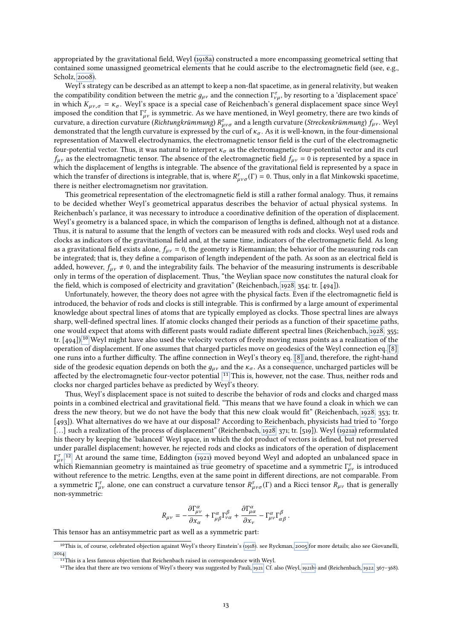appropriated by the gravitational field, Weyl [\(1918a\)](#page-20-5) constructed a more encompassing geometrical setting that contained some unassigned geometrical elements that he could ascribe to the electromagnetic field (see, e.g., Scholz, [2008\)](#page-20-28).

Weyl's strategy can be described as an attempt to keep a non-flat spacetime, as in general relativity, but weaken the compatibility condition between the metric  $g_{\mu\nu}$  and the connection  $\Gamma^{\tau}_{\nu\mu}$ , by resorting to a 'displacement space'<br>in which  $K = \tau$ . Weyl's space is a special case of Reichenbach's general displacement space in which  $K_{\mu\nu,\sigma} = \kappa_{\sigma}$ . Weyl's space is a special case of Reichenbach's general displacement space since Weyl imposed the condition that  $\Gamma^{\tau}_{\mu\nu}$  is symmetric. As we have mentioned, in Weyl geometry, there are two kinds of curvature and interesting the curvature of the curvature and a length curvature (Streckenkrümmung)  $f$ . curvature, a direction curvature (Richtungkrümmung)  $R_{\mu\nu\sigma}^{\tau}$  and a length curvature (Streckenkrümmung)  $f_{\mu\nu}$ . Weyl<br>demonstrated that the length curvature is expressed by the curl of  $\kappa$  as it is well-known, i demonstrated that the length curvature is expressed by the curl of  $\kappa_{\sigma}$ . As it is well-known, in the four-dimensional representation of Maxwell electrodynamics, the electromagnetic tensor eld is the curl of the electromagnetic four-potential vector. Thus, it was natural to interpret  $\kappa_{\sigma}$  as the electromagnetic four-potential vector and its curl  $f_{\mu\nu}$  as the electromagnetic tensor. The absence of the electromagnetic field  $f_{\mu\nu} = 0$  is represented by a space in which the displacement of lengths is integrable. The absence of the gravitational field is represented by a space in which the transfer of directions is integrable, that is, where  $R^{\tau}_{\mu\nu\sigma}(\Gamma) = 0$ . Thus, only in a flat Minkowski spacetime, there is neither electromagnetism nor gravitation there is neither electromagnetism nor gravitation.

This geometrical representation of the electromagnetic field is still a rather formal analogy. Thus, it remains to be decided whether Weyl's geometrical apparatus describes the behavior of actual physical systems. In Reichenbach's parlance, it was necessary to introduce a coordinative denition of the operation of displacement. Weyl's geometry is a balanced space, in which the comparison of lengths is defined, although not at a distance. Thus, it is natural to assume that the length of vectors can be measured with rods and clocks. Weyl used rods and clocks as indicators of the gravitational field and, at the same time, indicators of the electromagnetic field. As long as a gravitational field exists alone,  $f_{\mu\nu} = 0$ , the geometry is Riemannian; the behavior of the measuring rods can be integrated; that is, they define a comparison of length independent of the path. As soon as an electrical field is added, however,  $f_{\mu\nu} \neq 0$ , and the integrability fails. The behavior of the measuring instruments is describable only in terms of the operation of displacement. Thus, "the Weylian space now constitutes the natural cloak for the field, which is composed of electricity and gravitation" (Reichenbach, [1928,](#page-20-1) 354; tr. [494]).

Unfortunately, however, the theory does not agree with the physical facts. Even if the electromagnetic field is introduced, the behavior of rods and clocks is still integrable. This is confirmed by a large amount of experimental knowledge about spectral lines of atoms that are typically employed as clocks. Those spectral lines are always sharp, well-defined spectral lines. If atomic clocks changed their periods as a function of their spacetime paths, one would expect that atoms with different pasts would radiate different spectral lines (Reichenbach, [1928,](#page-20-1) 355;<br>tr[.](#page-12-0) [494]).<sup>10</sup> Weyl might have also used the velocity vectors of freely moving mass points as a realization operation of displacement. If one assumes that charged particles move on geodesics of the Weyl connection eq. [\[8\],](#page-7-2) one runs into a further difficulty. The affine connection in Weyl's theory eq. [\[8\]](#page-7-2) and, therefore, the right-hand side of the geodesic equation depends on both the  $g_{\mu\nu}$  and the  $\kappa_{\sigma}$ . As a consequence, uncharged particles will be affected by the electromagnetic four-vector potential [.](#page-12-1)<sup>11</sup> This is, however, not the case. Thus, neither rods and clocks nor charged particles behave as predicted by Weyl's theory.

Thus, Weyl's displacement space is not suited to describe the behavior of rods and clocks and charged mass points in a combined electrical and gravitational field. "This means that we have found a cloak in which we can dress the new theory, but we do not have the body that this new cloak would fit" (Reichenbach, [1928,](#page-20-1) 353; tr. [493]). What alternatives do we have at our disposal? According to Reichenbach, physicists had tried to "forgo [...] such a realization of the process of displacement" (Reichenbach, [1928,](#page-20-1) 371; tr. [519]). Weyl [\(1921a\)](#page-20-29) reformulated his theory by keeping the 'balanced' Weyl space, in which the dot product of vectors is dened, but not preserved under parallel displacement; however, he rejected rods and clocks as indicators of the operation of displacement which Riemannian geometry is maintained as true geometry of spacetime and a symmetric  $\Gamma_{\mu\nu}^{\tau}$  is introduced<br>without reference to the metric. Lengths, even at the same point in different directions, are not comparab inder parallel displacement; however, he rejected rods and clocks as indicators of the operation of displacement<br> $\frac{17}{\mu\nu}$ [.](#page-12-2)<sup>12</sup> At around the same time, Eddington [\(1921\)](#page-19-2) moved beyond Weyl and adopted an unbalanced spa without reference to the metric. Lengths, even at the same point in different directions, are not comparable. From a symmetric  $\Gamma^{\tau}_{\mu\nu}$  alone, one can construct a curvature tensor  $R^{\tau}_{\mu\nu\sigma}(\Gamma)$  and a Ricci tensor  $R_{\mu\nu}$  that is generally non-symmetric: non-symmetric:

$$
R_{\mu\nu} = -\frac{\partial \Gamma^{\alpha}_{\mu\nu}}{\partial x_{\alpha}} + \Gamma^{\alpha}_{\mu\beta} \Gamma^{\beta}_{\nu\alpha} + \frac{\partial \Gamma^{\alpha}_{\mu\alpha}}{\partial x_{\nu}} - \Gamma^{\alpha}_{\mu\nu} \Gamma^{\beta}_{\alpha\beta}.
$$

 $\frac{\partial x_{\alpha}}{\partial x_{\nu}}$  This tensor has an antisymmetric part as well as a symmetric part:

<span id="page-12-0"></span><sup>&</sup>lt;sup>10</sup>This is, of course, celebrated objection against Weyl's theory Einstein's [\(1918\)](#page-19-12). see Ryckman, [2005](#page-20-30) for more details; also see Giovanelli, [2014.](#page-19-6)

<span id="page-12-1"></span><sup>&</sup>lt;sup>11</sup>This is a less famous objection that Reichenbach raised in correspondence with Weyl.

<span id="page-12-2"></span><sup>&</sup>lt;sup>12</sup>The idea that there are two versions of Weyl's theory was suggested by Pauli, [1921.](#page-20-31) Cf. also (Weyl, [1921b\)](#page-20-6) and (Reichenbach, [1922,](#page-20-32) 367-368).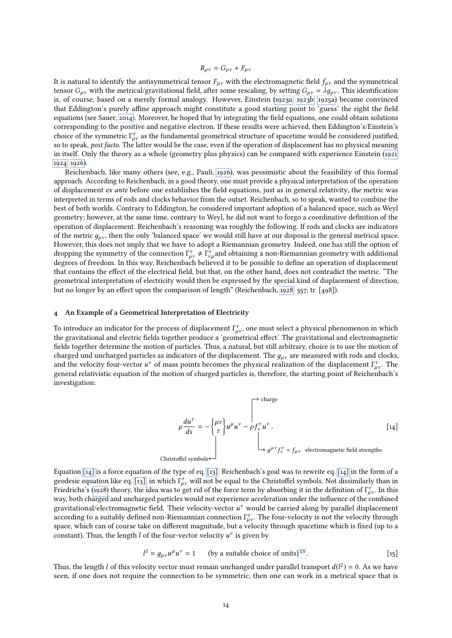$$
R_{\mu\nu} = G_{\mu\nu} + F_{\mu\nu}
$$

It is natural to identify the antisymmetrical tensor  $F_{\mu\nu}$  with the electromagnetic field  $f_{\mu\nu}$  and the symmetrical tensor  $G_{\mu\nu}$  with the metrical/gravitational field, after some rescaling, by setting  $G_{\mu\nu} = \lambda g_{\mu\nu}$ . This identification is, of course, based on a merely formal analogy. However, Einstein [\(1923a,](#page-19-13) [1923b,](#page-19-14) [1925a\)](#page-19-15) became convinced that Eddington's purely affine approach might constitute a good starting point to 'guess' the right the field equations (see Sauer, [2014\)](#page-20-8). Moreover, he hoped that by integrating the field equations, one could obtain solutions corresponding to the positive and negative electron. If these results were achieved, then Eddington's/Einstein's choice of the symmetric  $\Gamma^{\tau}_{\mu\nu}$  as the fundamental geometrical structure of spacetime would be considered justified,<br>so to speak, post facto. The latter would be the case, even if the operation of displacement has n so to speak, post facto. The latter would be the case, even if the operation of displacement has no physical meaning in itself. Only the theory as a whole (geometry plus physics) can be compared with experience Einstein [\(1921,](#page-19-16) [1924,](#page-19-17) [1926\)](#page-19-18).

Reichenbach, like many others (see, e.g., Pauli, [1926\)](#page-20-33), was pessimistic about the feasibility of this formal approach. According to Reichenbach, in a good theory, one must provide a physical interpretation of the operation of displacement  $ex$  ante before one establishes the field equations, just as in general relativity, the metric was interpreted in terms of rods and clocks behavior from the outset. Reichenbach, so to speak, wanted to combine the best of both worlds. Contrary to Eddington, he considered important adoption of a balanced space, such as Weyl geometry; however, at the same time, contrary to Weyl, he did not want to forgo a coordinative definition of the operation of displacement. Reichenbach's reasoning was roughly the following. If rods and clocks are indicators of the metric  $g_{\mu\nu}$ , then the only 'balanced space' we would still have at our disposal is the general metrical space. However, this does not imply that we have to adopt a Riemannian geometry. Indeed, one has still the option of dropping the symmetry of the connection  $\Gamma_{\mu\nu}^{\tau} \neq \Gamma_{\nu}^{\tau}$  and obtaining a non-Riemannian geometry with additional degrees of freedom. In this way, Reichenbach believed it to be possible to define an operation of degrees of freedom. In this way, Reichenbach believed it to be possible to define an operation of displacement that contains the effect of the electrical field, but that, on the other hand, does not contradict the metric. "The geometrical interpretation of electricity would then be expressed by the special kind of displacement of direction, but no longer by an effect upon the comparison of length" (Reichenbach, [1928,](#page-20-1) 357; tr. [498]).

#### 4 An Example of a Geometrical Interpretation of Electricity

To introduce an indicator for the process of displacement  $\Gamma_{\mu\nu}^{\tau}$ , one must select a physical phenomenon in which<br>the gravitational and electric fields together produce a 'geometrical effect'. The gravitational and the gravitational and electric fields together produce a 'geometrical effect.' The gravitational and electromagnetic fields together determine the motion of particles. Thus, a natural, but still arbitrary, choice is to use the motion of charged und uncharged particles as indicators of the displacement. The  $g_{\mu\nu}$  are measured with rods and clocks, and the velocity four-vector  $u^{\nu}$  of mass points becomes the physical realization of the displacement  $\Gamma_{\mu\nu}^{\tau}$ . The general relativistic equation of the motion of charged particles is therefore the starting point general relativistic equation of the motion of charged particles is, therefore, the starting point of Reichenbach's investigation:

<span id="page-13-0"></span>
$$
\mu \frac{du^{\tau}}{ds} = -\begin{Bmatrix} \mu v \\ \tau \end{Bmatrix} u^{\mu} u^{\nu} - \rho f_{\nu}^{\tau} u^{\nu}.
$$
\n
$$
\begin{bmatrix} 14 \end{bmatrix}
$$
\nChristoffel symbols

\nChristoffel symbols

Equation [\[14\]](#page-13-0) is a force equation of the type of eq. [\[13\].](#page-10-0) Reichenbach's goal was to rewrite eq. [\[14\]](#page-13-0) in the form of a geodesic equation like eq. [\[13\],](#page-10-0) in which  $\Gamma_{\mu\nu}^{\tau}$  will not be equal to the Christoffel symbols. Not dissimilarly than in<br>Friedrichs's (1928) theory the idea was to get rid of the force term by absorbing it in the d Friedrichs's [\(1928\)](#page-19-3) theory, the idea was to get rid of the force term by absorbing it in the definition of  $\Gamma^{\tau}_{\mu\nu}$ . In this<br>way both charged and uncharged particles would not experience acceleration under the influe way, both charged and uncharged particles would not experience acceleration under the influence of the combined gravitational/electromagnetic field. Their velocity-vector  $u^{\nu}$  would be carried along by parallel displacement<br>according to a suitably defined non-Biemannian connection  $\Gamma^{\tau}$ . The four-velocity is not the velocity according to a suitably defined non-Riemannian connection  $\Gamma^{\tau}_{\mu\nu}$ . The four-velocity is not the velocity through<br>space, which can of course take on different magnitude, but a velocity through spacetime which is fixe space, which can of course take on different magnitude, but a velocity through spacetime which is fixed (up to a constant). Thus, the length  $l$  of the four-vector velocity  $u^v$  is given by

<span id="page-13-1"></span>
$$
l^{2} = g_{\mu\nu}u^{\mu}u^{\nu} = 1
$$
 (by a suitable choice of units)<sup>13</sup>. [15]

Thus, the length *l* of this velocity vector must remain unchanged under parallel transport  $d(l^2) = 0$ . As we have seen, if one does not require the connection to be symmetric, then one can work in a metrical space that is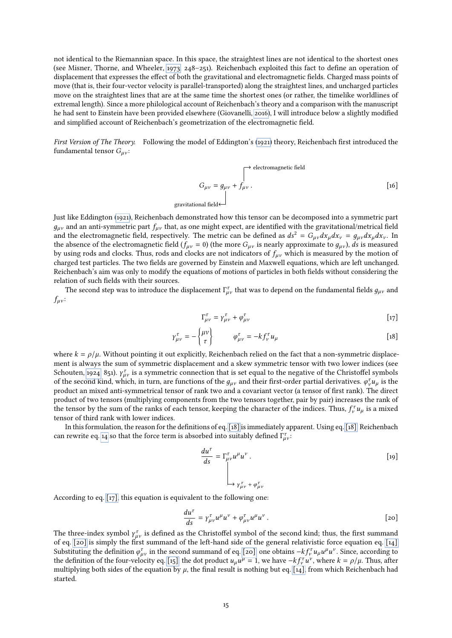not identical to the Riemannian space. In this space, the straightest lines are not identical to the shortest ones (see Misner, Thorne, and Wheeler, [1973,](#page-20-34) 248–251). Reichenbach exploited this fact to define an operation of displacement that expresses the effect of both the gravitational and electromagnetic fields. Charged mass points of move (that is, their four-vector velocity is parallel-transported) along the straightest lines, and uncharged particles move on the straightest lines that are at the same time the shortest ones (or rather, the timelike worldlines of extremal length). Since a more philological account of Reichenbach's theory and a comparison with the manuscript he had sent to Einstein have been provided elsewhere (Giovanelli, [2016\)](#page-20-2), I will introduce below a slightly modified and simplified account of Reichenbach's geometrization of the electromagnetic field.

First Version of The Theory. Following the model of Eddington's [\(1921\)](#page-19-2) theory, Reichenbach first introduced the fundamental tensor  $G_{\mu\nu}$ :

<span id="page-14-4"></span>
$$
G_{\mu\nu} = g_{\mu\nu} + f_{\mu\nu} \,. \eqno [16]
$$
 gravitational field

Just like Eddington [\(1921\)](#page-19-2), Reichenbach demonstrated how this tensor can be decomposed into a symmetric part  $g_{\mu\nu}$  and an anti-symmetric part  $f_{\mu\nu}$  that, as one might expect, are identified with the gravitational/metrical field and the electromagnetic field, respectively. The metric can be defined as  $ds^2 = G_{\mu\nu}dx_{\mu}dx_{\nu} = g_{\mu\nu}dx_{\mu}dx_{\nu}$ . In the absence of the electromagnetic field ( $f_{\mu\nu} = 0$ ) (the more  $G_{\mu\nu}$  is nearly approximate to  $g_{\mu\nu}$ ), ds is measured by using rods and clocks. Thus, rods and clocks are not indicators of  $f_{\mu\nu}$  which is measured by the motion of charged test particles. The two fields are governed by Einstein and Maxwell equations, which are left unchanged. Reichenbach's aim was only to modify the equations of motions of particles in both fields without considering the relation of such fields with their sources.

The second step was to introduce the displacement  $\Gamma^{\tau}_{\mu\nu}$  that was to depend on the fundamental fields  $g_{\mu\nu}$  and  $f_{uv}$ :

<span id="page-14-1"></span>
$$
\Gamma^{\tau}_{\mu\nu} = \gamma^{\tau}_{\mu\nu} + \varphi^{\tau}_{\mu\nu} \tag{17}
$$

<span id="page-14-0"></span>
$$
\gamma_{\mu\nu}^{\tau} = -\begin{Bmatrix} \mu\nu \\ \tau \end{Bmatrix} \qquad \varphi_{\mu\nu}^{\tau} = -k f_{\nu}^{\tau} u_{\mu} \qquad [18]
$$

where  $k = \rho/\mu$ . Without pointing it out explicitly, Reichenbach relied on the fact that a non-symmetric displacement is always the sum of symmetric displacement and a skew symmetric tensor with two lower indices (see Schouten, [1924,](#page-20-35) 851).  $\gamma_{\mu\nu}^{\tau}$  is a symmetric connection that is set equal to the negative of the Christoffel symbols<br>of the second kind, which in turn, are functions of the q, and their first-order partial derivati of the second kind, which, in turn, are functions of the  $g_{\mu\nu}$  and their first-order partial derivatives.  $\varphi_{\nu}^{\tau}u_{\mu}$  is the product an mixed anti-symmetrical tensor of rank two and a covariant vector (a tensor product an mixed anti-symmetrical tensor of rank two and a covariant vector (a tensor of first rank). The direct product of two tensors (multiplying components from the two tensors together, pair by pair) increases the rank of the tensor by the sum of the ranks of each tensor, keeping the character of the indices. Thus,  $f_v^{\tau} u_{\mu}$  is a mixed tensor of third rank with lower indices tensor of third rank with lower indices.

In this formulation, the reason for the definitions of eq. [\[18\]](#page-14-0) is immediately apparent. Using eq. [\[18\],](#page-14-0) Reichenbach can rewrite eq. [14](#page-13-0) so that the force term is absorbed into suitably defined  $\Gamma^{\tau}_{\mu\nu}$ :

<span id="page-14-3"></span>
$$
\frac{du^{\tau}}{ds} = \Gamma_{\mu\nu}^{\tau} u^{\mu} u^{\nu} .
$$
\n
$$
\downarrow
$$
\n
$$
\rightarrow \gamma_{\mu\nu}^{\tau} + \varphi_{\mu\nu}^{\tau}
$$
\n
$$
(19)
$$

According to eq. [\[17\],](#page-14-1) this equation is equivalent to the following one:

<span id="page-14-2"></span>
$$
\frac{du^{\tau}}{ds} = \gamma_{\mu\nu}^{\tau} u^{\mu} u^{\nu} + \varphi_{\mu\nu}^{\tau} u^{\mu} u^{\nu} .
$$
\n[20]

The three-index symbol  $\gamma^{\tau}_{\mu\nu}$  is defined as the Christoffel symbol of the second kind; thus, the first summand<br>of eq. [20] is simply the first summand of the left-hand side of the general relativistic force equatio of eq.  $[20]$  is simply the first summand of the left-hand side of the general relativistic force equation eq.  $[14]$ . Substituting the definition  $\varphi_{\mu\nu}^{\tau}$  in the second summand of eq. [\[20\],](#page-14-2) one obtains  $-k f_{\nu}^{\tau} u_{\mu} u^{\mu} u^{\nu}$ . Since, according to the definition of the four-velocity eq. [15], the dot product  $u, u^{\mu} = 1$ , we ha Substituting the definition φ<sub>μν</sub> in the second summand of eq. [20], one obtains  $-kf_v^T u_\mu u^\mu u^\nu$ . Since, according to<br>the definition of the four-velocity eq. [\[15\],](#page-13-1) the dot product  $u_\mu u^\mu = 1$ , we have  $-kf_v^T u^\nu$ , where the definition of the four-velocity eq. [15], the dot product  $u_{\mu}u^{\nu} = 1$ , we have  $-\kappa f_{\nu}u^{\nu}$ , where  $\kappa = p/\mu$ . Thus, after multiplying both sides of the equation by *μ*, the final result is nothing but eq. [14] started.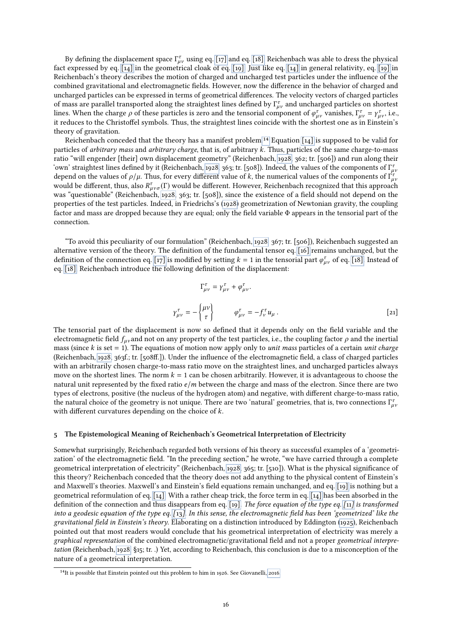By defining the displacement space  $\Gamma_{\mu\nu}^{\tau}$  using eq. [\[17\]](#page-14-1) and eq. [\[18\],](#page-14-0) Reichenbach was able to dress the physical<br>coveressed by eq. [14] in the geometrical cloak of eq. [19]. Just like eq. [14] in general relativi fact expressed by eq. [\[14\]](#page-13-0) in the geometrical cloak of eq. [\[19\].](#page-14-3) Just like eq. [\[14\]](#page-13-0) in general relativity, eq. [\[19\]](#page-14-3) in Reichenbach's theory describes the motion of charged and uncharged test particles under the influence of the combined gravitational and electromagnetic fields. However, now the difference in the behavior of charged and uncharged particles can be expressed in terms of geometrical differences. The velocity vectors of charged particles of mass are parallel transported along the straightest lines defined by  $\Gamma^{\tau}_{\mu\nu}$  and uncharged particles on shortest<br>lines. When the charge a of these particles is zero and the tensorial component of  $a^{\tau}$ , vanishe lines. When the charge  $\rho$  of these particles is zero and the tensorial component of  $\varphi_{\mu\nu}^{\tau}$  vanishes,  $\Gamma_{\mu\nu}^{\tau} = \gamma_{\mu\nu}^{\tau}$ , i.e., i.e., it reduces to the Christoffel symbols. Thus, the straightest lines c it reduces to the Christoffel symbols. Thus, the straightest lines coincide with the shortest one as in Einstein's theory of gravitation.

Reichenbach conceded that the theory has a manifest problem[.](#page-15-0)<sup>14</sup> Equation [\[14\]](#page-13-0) is supposed to be valid for particles of arbitrary mass and arbitrary charge, that is, of arbitrary k. Thus, particles of the same charge-to-mass ratio "will engender [their] own displacement geometry" (Reichenbach, [1928,](#page-20-1) 362; tr. [506]) and run along their 'own' straightest lines defined by it (Reichenbach, [1928,](#page-20-1) 363; tr. [508]). Indeed, the values of the components of  $\Gamma^{\tau}_{\mu}$ <br>depend on the values of  $\rho/\mu$ . Thus, for every different value of k, the numerical values of depend on the values of  $\rho/\mu$ . Thus, for every different value of k, the numerical values of the components of  $\int_{\mu}^{\tau}$ <br>would be different, thus, also  $R^{\tau}$ . (F) would be different. However, Reichenbach recognized would be different, thus, also  $R^{\tau}_{\mu\nu\sigma}(\Gamma)$  would be different. However, Reichenbach recognized that this approach<br>was "questionable" (Reichenbach, 1928, 262; tr. [508]), since the existence of a field should not dep was "questionable" (Reichenbach, [1928,](#page-20-1) 363; tr. [508]), since the existence of a field should not depend on the properties of the test particles. Indeed, in Friedrichs's [\(1928\)](#page-19-3) geometrization of Newtonian gravity, the coupling factor and mass are dropped because they are equal; only the field variable Φ appears in the tensorial part of the connection.

"To avoid this peculiarity of our formulation" (Reichenbach, [1928,](#page-20-1) 367; tr. [506]), Reichenbach suggested an alternative version of the theory. The definition of the fundamental tensor eq. [\[16\]](#page-14-4) remains unchanged, but the definition of the connection eq. [\[17\]](#page-14-1) is modified by setting  $k = 1$  in the tensorial part  $\varphi_{\mu\nu}^{\tau}$  of eq. [\[18\].](#page-14-0) Instead of eq. [\[18\],](#page-14-0) Reichenbach introduce the following definition of the displacement:

<span id="page-15-1"></span>
$$
\Gamma^{\tau}_{\mu\nu} = \gamma^{\tau}_{\mu\nu} + \varphi^{\tau}_{\mu\nu}.
$$
\n
$$
\gamma^{\tau}_{\mu\nu} = -\begin{Bmatrix} \mu\nu \\ \tau \end{Bmatrix} \qquad \varphi^{\tau}_{\mu\nu} = -f^{\tau}_{\nu} u_{\mu}.
$$
\n[21]

The tensorial part of the displacement is now so defined that it depends only on the field variable and the electromagnetic field  $f_{\mu\nu}$  and not on any property of the test particles, i.e., the coupling factor  $\rho$  and the inertial mass (since k is set  $= 1$ ). The equations of motion now apply only to *unit mass* particles of a certain *unit charge* (Reichenbach, [1928,](#page-20-1) 363f.; tr. [508ff.]). Under the influence of the electromagnetic field, a class of charged particles with an arbitrarily chosen charge-to-mass ratio move on the straightest lines, and uncharged particles always move on the shortest lines. The norm  $k = 1$  can be chosen arbitrarily. However, it is advantageous to choose the natural unit represented by the fixed ratio  $e/m$  between the charge and mass of the electron. Since there are two types of electrons, positive (the nucleus of the hydrogen atom) and negative, with different charge-to-mass ratio, the natural choice of the geometry is not unique. There are two 'natural' geometries, that is, two connections  $\Gamma_{\mu}^{\tau}$ , with different curvatures depending on the choice of  $k$ .

#### 5 The Epistemological Meaning of Reichenbach's Geometrical Interpretation of Electricity

Somewhat surprisingly, Reichenbach regarded both versions of his theory as successful examples of a 'geometrization' of the electromagnetic field. "In the preceding section," he wrote, "we have carried through a complete geometrical interpretation of electricity" (Reichenbach, [1928,](#page-20-1) 365; tr. [510]). What is the physical significance of this theory? Reichenbach conceded that the theory does not add anything to the physical content of Einstein's and Maxwell's theories. Maxwell's and Einstein's field equations remain unchanged, and eq. [\[19\]](#page-14-3) is nothing but a geometrical reformulation of eq.  $\lceil 14 \rceil$ . With a rather cheap trick, the force term in eq.  $\lceil 14 \rceil$  has been absorbed in the definition of the connection and thus disappears from eq. [\[19\].](#page-14-3) The force equation of the type eq. [[11](#page-9-0)] is transformed into a geodesic equation of the type eq.  $[13]$  $[13]$  $[13]$ . In this sense, the electromagnetic field has been 'geometrized' like the gravitational field in Einstein's theory. Elaborating on a distinction introduced by Eddington [\(1925\)](#page-19-10), Reichenbach pointed out that most readers would conclude that his geometrical interpretation of electricity was merely a graphical representation of the combined electromagnetic/gravitational field and not a proper geometrical interpretation (Reichenbach, [1928,](#page-20-1) §15; tr. .) Yet, according to Reichenbach, this conclusion is due to a misconception of the nature of a geometrical interpretation. 14

<span id="page-15-0"></span><sup>&</sup>lt;sup>14</sup>It is possible that Einstein pointed out this problem to him in 1926. See Giovanelli, [2016.](#page-20-2)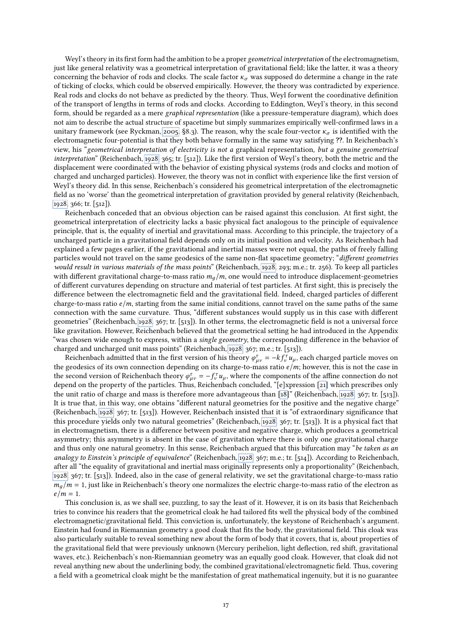Weyl's theory in its first form had the ambition to be a proper geometrical interpretation of the electromagnetism, just like general relativity was a geometrical interpretation of gravitational field; like the latter, it was a theory concerning the behavior of rods and clocks. The scale factor  $\kappa_{\sigma}$  was supposed do determine a change in the rate of ticking of clocks, which could be observed empirically. However, the theory was contradicted by experience. Real rods and clocks do not behave as predicted by the theory. Thus, Weyl forwent the coordinative definition of the transport of lengths in terms of rods and clocks. According to Eddington, Weyl's theory, in this second form, should be regarded as a mere graphical representation (like a pressure-temperature diagram), which does not aim to describe the actual structure of spacetime but simply summarizes empirically well-confirmed laws in a unitary framework (see Ryckman, [2005,](#page-20-30) §8.3). The reason, why the scale four-vector  $\kappa_{\sigma}$  is identified with the electromagnetic four-potential is that they both behave formally in the same way satisfying ??. In Reichenbach's view, his "geometrical interpretation of electricity is not a graphical representation, but a genuine geometrical interpretation" (Reichenbach, [1928,](#page-20-1) 365; tr. [512]). Like the first version of Weyl's theory, both the metric and the displacement were coordinated with the behavior of existing physical systems (rods and clocks and motion of charged and uncharged particles). However, the theory was not in conflict with experience like the first version of Weyl's theory did. In this sense, Reichenbach's considered his geometrical interpretation of the electromagnetic field as no 'worse' than the geometrical interpretation of gravitation provided by general relativity (Reichenbach, [1928,](#page-20-1) 366; tr. [512]).

Reichenbach conceded that an obvious objection can be raised against this conclusion. At first sight, the geometrical interpretation of electricity lacks a basic physical fact analogous to the principle of equivalence principle, that is, the equality of inertial and gravitational mass. According to this principle, the trajectory of a uncharged particle in a gravitational field depends only on its initial position and velocity. As Reichenbach had explained a few pages earlier, if the gravitational and inertial masses were not equal, the paths of freely falling particles would not travel on the same geodesics of the same non-flat spacetime geometry; "different geometries would result in various materials of the mass points" (Reichenbach, [1928,](#page-20-1) 293; m.e.; tr. 256). To keep all particles with different gravitational charge-to-mass ratio  $m_q/m$ , one would need to introduce displacement-geometries of different curvatures depending on structure and material of test particles. At first sight, this is precisely the difference between the electromagnetic field and the gravitational field. Indeed, charged particles of different charge-to-mass ratio  $e/m$ , starting from the same initial conditions, cannot travel on the same paths of the same connection with the same curvature. Thus, "different substances would supply us in this case with different geometries" (Reichenbach, [1928,](#page-20-1) 367; tr. [513]). In other terms, the electromagnetic field is not a universal force like gravitation. However, Reichenbach believed that the geometrical setting he had introduced in the Appendix "was chosen wide enough to express, within a *single geometry*, the corresponding difference in the behavior of charged and uncharged unit mass points" (Reichenbach, [1928,](#page-20-1) 367; m.e.; tr. [513]).

Reichenbach admitted that in the first version of his theory  $\varphi_{\mu\nu}^{\tau} = -kf_{\nu}^{\tau}u_{\mu}$ , each charged particle moves on geodesics of its own connection denonding on its charge-to-mass ratio e/m; however, this is not the geodesics of its own connection depending on its charge-to-mass ratio  $e/m$ ; however, this is not the case in the second version of Reichenbach theory  $\varphi_{\mu\nu}^{\tau} = -f_{\nu}^{\tau} u_{\mu}$ , where the components of the affine connection do not<br>depend on the property of the particles. Thus, Beichenbach concluded "[elypression [21] which depend on the property of the particles. Thus, Reichenbach concluded, "[e]xpression [\[21\]](#page-15-1) which prescribes only the unit ratio of charge and mass is therefore more advantageous than [\[18\]](#page-14-0)" (Reichenbach, [1928,](#page-20-1) 367; tr. [513]). It is true that, in this way, one obtains "different natural geometries for the positive and the negative charge" (Reichenbach, [1928,](#page-20-1) 367; tr. [513]). However, Reichenbach insisted that it is "of extraordinary signicance that this procedure yields only two natural geometries" (Reichenbach, [1928,](#page-20-1) 367; tr. [513]). It is a physical fact that in electromagnetism, there is a difference between positive and negative charge, which produces a geometrical asymmetry; this asymmetry is absent in the case of gravitation where there is only one gravitational charge and thus only one natural geometry. In this sense, Reichenbach argued that this bifurcation may "be taken as an analogy to Einstein's principle of equivalence" (Reichenbach, [1928,](#page-20-1) 367; m.e.; tr. [514]). According to Reichenbach, after all "the equality of gravitational and inertial mass originally represents only a proportionality" (Reichenbach, [1928,](#page-20-1) 367; tr. [513]). Indeed, also in the case of general relativity, we set the gravitational charge-to-mass ratio  $m_q/m = 1$ , just like in Reichenbach's theory one normalizes the electric charge-to-mass ratio of the electron as  $e/m = 1$ .

This conclusion is, as we shall see, puzzling, to say the least of it. However, it is on its basis that Reichenbach tries to convince his readers that the geometrical cloak he had tailored fits well the physical body of the combined electromagnetic/gravitational field. This conviction is, unfortunately, the keystone of Reichenbach's argument. Einstein had found in Riemannian geometry a good cloak that fits the body, the gravitational field. This cloak was also particularly suitable to reveal something new about the form of body that it covers, that is, about properties of the gravitational field that were previously unknown (Mercury perihelion, light deflection, red shift, gravitational waves, etc.). Reichenbach's non-Riemannian geometry was an equally good cloak. However, that cloak did not reveal anything new about the underlining body, the combined gravitational/electromagnetic field. Thus, covering a field with a geometrical cloak might be the manifestation of great mathematical ingenuity, but it is no guarantee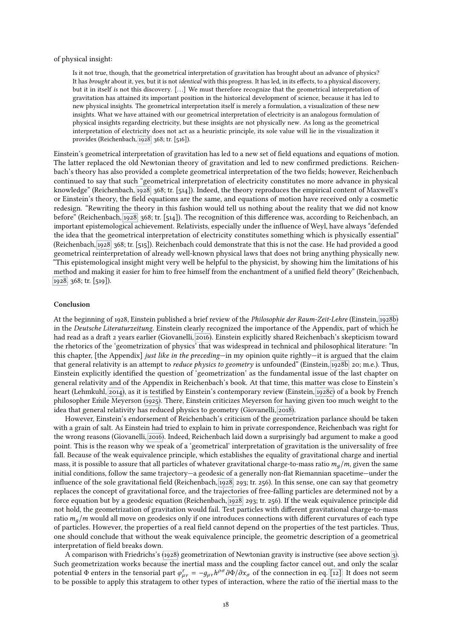#### of physical insight:

Is it not true, though, that the geometrical interpretation of gravitation has brought about an advance of physics? It has *brought* about it, yes, but it is not *identical* with this progress. It has led, in its effects, to a physical discovery, but it in itself is not this discovery. [. . .] We must therefore recognize that the geometrical interpretation of gravitation has attained its important position in the historical development of science, because it has led to new physical insights. The geometrical interpretation itself is merely a formulation, a visualization of these new insights. What we have attained with our geometrical interpretation of electricity is an analogous formulation of physical insights regarding electricity, but these insights are not physically new. As long as the geometrical interpretation of electricity does not act as a heuristic principle, its sole value will lie in the visualization it provides (Reichenbach, [1928,](#page-20-1) 368; tr. [516]).

Einstein's geometrical interpretation of gravitation has led to a new set of field equations and equations of motion. The latter replaced the old Newtonian theory of gravitation and led to new confirmed predictions. Reichenbach's theory has also provided a complete geometrical interpretation of the two fields; however, Reichenbach continued to say that such "geometrical interpretation of electricity constitutes no more advance in physical knowledge" (Reichenbach, [1928,](#page-20-1) 368; tr. [514]). Indeed, the theory reproduces the empirical content of Maxwell's or Einstein's theory, the eld equations are the same, and equations of motion have received only a cosmetic redesign. "Rewriting the theory in this fashion would tell us nothing about the reality that we did not know before" (Reichenbach, [1928,](#page-20-1) 368; tr. [514]). The recognition of this difference was, according to Reichenbach, an important epistemological achievement. Relativists, especially under the influence of Weyl, have always "defended the idea that the geometrical interpretation of electricity constitutes something which is physically essential" (Reichenbach, [1928,](#page-20-1) 368; tr. [515]). Reichenbach could demonstrate that this is not the case. He had provided a good geometrical reinterpretation of already well-known physical laws that does not bring anything physically new. "This epistemological insight might very well be helpful to the physicist, by showing him the limitations of his method and making it easier for him to free himself from the enchantment of a unified field theory" (Reichenbach, [1928,](#page-20-1) 368; tr. [519]).

### Conclusion

At the beginning of 1928, Einstein published a brief review of the Philosophie der Raum-Zeit-Lehre (Einstein, [1928b\)](#page-19-19) in the Deutsche Literaturzeitung. Einstein clearly recognized the importance of the Appendix, part of which he had read as a draft 2 years earlier (Giovanelli, [2016\)](#page-20-2). Einstein explicitly shared Reichenbach's skepticism toward the rhetorics of the 'geometrization of physics' that was widespread in technical and philosophical literature: "In this chapter, [the Appendix] just like in the preceding—in my opinion quite rightly—it is argued that the claim that general relativity is an attempt to reduce physics to geometry is unfounded" (Einstein, [1928b,](#page-19-19) 20; m.e.). Thus, Einstein explicitly identied the question of 'geometrization' as the fundamental issue of the last chapter on general relativity and of the Appendix in Reichenbach's book. At that time, this matter was close to Einstein's heart (Lehmkuhl, [2014\)](#page-20-10), as it is testified by Einstein's contemporary review (Einstein, [1928c\)](#page-19-20) of a book by French philosopher Emile Meyerson [\(1925\)](#page-20-36). There, Einstein criticizes Meyerson for having given too much weight to the ´ idea that general relativity has reduced physics to geometry (Giovanelli, [2018\)](#page-20-37).

However, Einstein's endorsement of Reichenbach's criticism of the geometrization parlance should be taken with a grain of salt. As Einstein had tried to explain to him in private correspondence, Reichenbach was right for the wrong reasons (Giovanelli, [2016\)](#page-20-2). Indeed, Reichenbach laid down a surprisingly bad argument to make a good point. This is the reason why we speak of a 'geometrical' interpretation of gravitation is the universality of free fall. Because of the weak equivalence principle, which establishes the equality of gravitational charge and inertial mass, it is possible to assure that all particles of whatever gravitational charge-to-mass ratio  $m_q/m$ , given the same initial conditions, follow the same trajectory—a geodesic of a generally non-flat Riemannian spacetime—under the influence of the sole gravitational field (Reichenbach, [1928,](#page-20-1) 293; tr. 256). In this sense, one can say that geometry replaces the concept of gravitational force, and the trajectories of free-falling particles are determined not by a force equation but by a geodesic equation (Reichenbach, [1928,](#page-20-1) 293; tr. 256). If the weak equivalence principle did not hold, the geometrization of gravitation would fail. Test particles with different gravitational charge-to-mass ratio  $m_q/m$  would all move on geodesics only if one introduces connections with different curvatures of each type of particles. However, the properties of a real field cannot depend on the properties of the test particles. Thus, one should conclude that without the weak equivalence principle, the geometric description of a geometrical interpretation of field breaks down.

A comparison with Friedrichs's [\(1928\)](#page-19-3) geometrization of Newtonian gravity is instructive (see above section [3\)](#page-8-3). Such geometrization works because the inertial mass and the coupling factor cancel out, and only the scalar potential  $\Phi$  enters in the tensorial part  $\varphi_{\mu\nu}^{\tau} = -g_{\mu\nu}h^{\rho\sigma}\partial\Phi/\partial x_{\sigma}$  of the connection in eq. [\[12\].](#page-9-1) It does not seem<br>to be nossible to apply this stratagem to other types of interaction, where the ratio o to be possible to apply this stratagem to other types of interaction, where the ratio of the inertial mass to the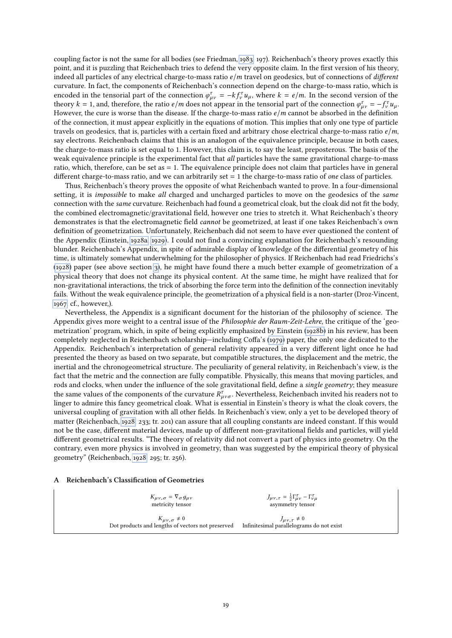coupling factor is not the same for all bodies (see Friedman, [1983,](#page-19-11) 197). Reichenbach's theory proves exactly this point, and it is puzzling that Reichenbach tries to defend the very opposite claim. In the first version of his theory, indeed all particles of any electrical charge-to-mass ratio  $e/m$  travel on geodesics, but of connections of different curvature. In fact, the components of Reichenbach's connection depend on the charge-to-mass ratio, which is encoded in the tensorial part of the connection  $\varphi_{\mu\nu}^{\tau} = -kf_{\nu}^{\tau}u_{\mu}$ , where  $k = e/m$ . In the second version of the theory  $k = 1$  and therefore the ratio  $e/m$  does not appear in the tensorial part of the connectio theory  $k = 1$ , and, therefore, the ratio  $e/m$  does not appear in the tensorial part of the connection  $\varphi_{\mu\nu}^{\tau} = -f_{\nu}^{\tau}u_{\mu}$ .<br>However the cure is worse than the disease. If the charge-to-mass ratio  $e/m$  cannot be However, the cure is worse than the disease. If the charge-to-mass ratio  $e/m$  cannot be absorbed in the definition of the connection, it must appear explicitly in the equations of motion. This implies that only one type of particle travels on geodesics, that is, particles with a certain fixed and arbitrary chose electrical charge-to-mass ratio  $e/m$ , say electrons. Reichenbach claims that this is an analogon of the equivalence principle, because in both cases, the charge-to-mass ratio is set equal to 1. However, this claim is, to say the least, preposterous. The basis of the weak equivalence principle is the experimental fact that all particles have the same gravitational charge-to-mass ratio, which, therefore, can be set as = 1. The equivalence principle does not claim that particles have in general different charge-to-mass ratio, and we can arbitrarily set  $= 1$  the charge-to-mass ratio of one class of particles.

Thus, Reichenbach's theory proves the opposite of what Reichenbach wanted to prove. In a four-dimensional setting, it is *impossible* to make all charged and uncharged particles to move on the geodesics of the *same* connection with the same curvature. Reichenbach had found a geometrical cloak, but the cloak did not fit the body, the combined electromagnetic/gravitational field, however one tries to stretch it. What Reichenbach's theory demonstrates is that the electromagnetic field *cannot* be geometrized, at least if one takes Reichenbach's own definition of geometrization. Unfortunately, Reichenbach did not seem to have ever questioned the content of the Appendix (Einstein, [1928a,](#page-19-21) [1929\)](#page-19-22). I could not find a convincing explanation for Reichenbach's resounding blunder. Reichenbach's Appendix, in spite of admirable display of knowledge of the differential geometry of his time, is ultimately somewhat underwhelming for the philosopher of physics. If Reichenbach had read Friedrichs's [\(1928\)](#page-19-3) paper (see above section [3\)](#page-8-3), he might have found there a much better example of geometrization of a physical theory that does not change its physical content. At the same time, he might have realized that for non-gravitational interactions, the trick of absorbing the force term into the denition of the connection inevitably fails. Without the weak equivalence principle, the geometrization of a physical field is a non-starter (Droz-Vincent, [1967,](#page-19-23) cf., however,).

Nevertheless, the Appendix is a significant document for the historian of the philosophy of science. The Appendix gives more weight to a central issue of the Philosophie der Raum-Zeit-Lehre, the critique of the 'geometrization' program, which, in spite of being explicitly emphasized by Einstein [\(1928b\)](#page-19-19) in his review, has been completely neglected in Reichenbach scholarship—including Coffa's [\(1979\)](#page-19-0) paper, the only one dedicated to the Appendix. Reichenbach's interpretation of general relativity appeared in a very different light once he had presented the theory as based on two separate, but compatible structures, the displacement and the metric, the inertial and the chronogeometrical structure. The peculiarity of general relativity, in Reichenbach's view, is the fact that the metric and the connection are fully compatible. Physically, this means that moving particles, and rods and clocks, when under the influence of the sole gravitational field, define a single geometry; they measure the same values of the components of the curvature  $R^{\tau}_{\mu\nu\sigma}$ . Nevertheless, Reichenbach invited his readers not to linger to admire this fancy geometrical cloak. What is essential in Einstein's theory is what the clo linger to admire this fancy geometrical cloak. What is essential in Einstein's theory is what the cloak covers, the universal coupling of gravitation with all other fields. In Reichenbach's view, only a yet to be developed theory of matter (Reichenbach, [1928,](#page-20-1) 233; tr. 201) can assure that all coupling constants are indeed constant. If this would not be the case, different material devices, made up of different non-gravitational fields and particles, will yield different geometrical results. "The theory of relativity did not convert a part of physics into geometry. On the contrary, even more physics is involved in geometry, than was suggested by the empirical theory of physical geometry" (Reichenbach, [1928,](#page-20-1) 295; tr. 256).

#### <span id="page-18-0"></span>A Reichenbach's Classification of Geometries

| $K_{\mu\nu,\sigma} = \nabla_{\sigma} g_{\mu\nu}$  | $J_{\mu\nu,\tau} = \frac{1}{2}\Gamma^{\tau}_{\mu\nu} - \Gamma^{\tau}_{\nu\mu}$ |
|---------------------------------------------------|--------------------------------------------------------------------------------|
| metricity tensor                                  | asymmetry tensor                                                               |
| $K_{\mu\nu,\sigma} \neq 0$                        | $J_{\mu\nu,\tau}\neq 0$                                                        |
| Dot products and lengths of vectors not preserved | Infinitesimal parallelograms do not exist                                      |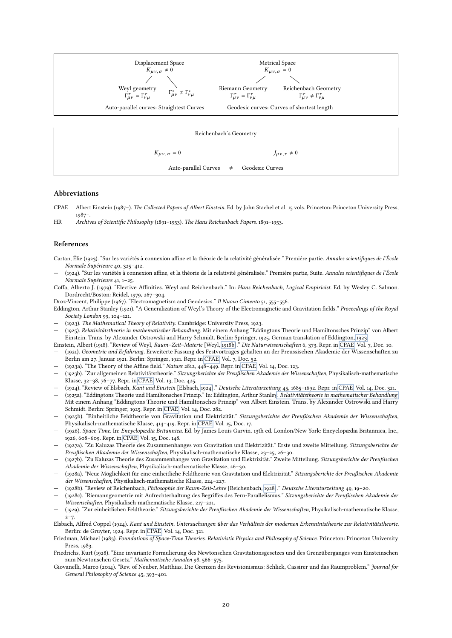

#### Reichenbach's Geometry

 $K_{\mu\nu,\sigma} = 0$   $J_{\mu\nu,\tau} \neq 0$ 

Auto-parallel Curves  $\neq$  Geodesic Curves

#### Abbreviations

- CPAE Albert Einstein (1987–). The Collected Papers of Albert Einstein. Ed. by John Stachel et al. 15 vols. Princeton: Princeton University Press, 1987–.
- HR Archives of Scientific Philosophy (1891–1953). The Hans Reichenbach Papers. 1891–1953.

#### References

- <span id="page-19-4"></span>Cartan, Élie (1923). "Sur les variétés à connexion affine et la théorie de la relativité généralisée." Premiére partie. Annales scientifiques de l'École Normale Supérieure 40, 325–412.
- <span id="page-19-5"></span>(1924). "Sur les variétés à connexion affine, et la théorie de la relativité généralisée." Premiére partie, Suite. Annales scientifiques de l'École Normale Supérieure 41, 1–25.
- <span id="page-19-0"></span>Coffa, Alberto J. (1979). "Elective Affinities. Weyl and Reichenbach." In: Hans Reichenbach, Logical Empiricist. Ed. by Wesley C. Salmon. Dordrecht/Boston: Reidel, 1979, 267–304.

<span id="page-19-23"></span>Droz-Vincent, Philippe (1967). "Electromagnetism and Geodesics." Il Nuovo Cimento 51, 555–556.

- <span id="page-19-2"></span>Eddington, Arthur Stanley (1921). "A Generalization of Weyl's Theory of the Electromagnetic and Gravitation fields." Proceedings of the Royal Society London 99, 104–121.
- <span id="page-19-9"></span>(1923). The Mathematical Theory of Relativity. Cambridge: University Press, 1923.
- <span id="page-19-10"></span>— (1925). Relativitätstheorie in mathematischer Behandlung. Mit einem Anhang "Eddingtons Theorie und Hamiltonsches Prinzip" von Albert Einstein. Trans. by Alexander Ostrowski and Harry Schmidt. Berlin: Springer, 1925. German translation of Eddington, [1923.](#page-19-9)

<span id="page-19-12"></span>Einstein, Albert (1918). "Review of Weyl, Raum–Zeit–Materie [Weyl, [1918b\]](#page-20-38)." Die Naturwissenschaften 6, 373. Repr. in [CPAE,](#page-0-1) Vol. 7, Doc. 10.

- <span id="page-19-16"></span>— (1921). Geometrie und Erfahrung. Erweiterte Fassung des Festvortrages gehalten an der Preussischen Akademie der Wissenschaften zu Berlin am 27. Januar 1921. Berlin: Springer, 1921. Repr. in [CPAE,](#page-0-1) Vol. 7, Doc. 52.
- <span id="page-19-13"></span>(1923a). "The Theory of the Affine field." Nature 2812, 448-449. Repr. in [CPAE,](#page-0-1) Vol. 14, Doc. 123.
- <span id="page-19-14"></span>— (1923b). "Zur allgemeinen Relativitätstheorie." Sitzungsberichte der Preußischen Akademie der Wissenschaften, Physikalisch-mathematische Klasse, 32–38, 76–77. Repr. in [CPAE,](#page-0-1) Vol. 13, Doc. 425.
- <span id="page-19-17"></span>— (1924). "Review of Elsbach, Kant und Einstein [Elsbach, [1924\]](#page-19-24)." Deutsche Literaturzeitung 45, 1685–1692. Repr. in [CPAE,](#page-0-1) Vol. 14, Doc. 321.
- <span id="page-19-15"></span>— (1925a). "Eddingtons Theorie und Hamiltonsches Prinzip." In: Eddington, Arthur Stanley. [Relativitätstheorie in mathematischer Behandlung](#page-19-10). Mit einem Anhang "Eddingtons Theorie und Hamiltonsches Prinzip" von Albert Einstein. Trans. by Alexander Ostrowski and Harry Schmidt. Berlin: Springer, 1925. Repr. in [CPAE,](#page-0-1) Vol. 14, Doc. 282.
- <span id="page-19-1"></span>— (1925b). "Einheitliche Feldtheorie von Gravitation und Elektrizität." Sitzungsberichte der Preußischen Akademie der Wissenschaften, Physikalisch-mathematische Klasse, 414–419. Repr. in [CPAE,](#page-0-1) Vol. 15, Doc. 17.
- <span id="page-19-18"></span>— (1926). Space-Time. In: Encyclopædia Britannica. Ed. by James Louis Garvin. 13th ed. London/New York: Encyclopædia Britannica, Inc., 1926, 608–609. Repr. in [CPAE,](#page-0-1) Vol. 15, Doc. 148.
- <span id="page-19-7"></span>— (1927a). "Zu Kaluzas Theorie des Zusammenhanges von Gravitation und Elektrizität." Erste und zweite Mitteilung. Sitzungsberichte der Preußischen Akademie der Wissenschaften, Physikalisch-mathematische Klasse, 23–25, 26–30.
- <span id="page-19-8"></span>— (1927b). "Zu Kaluzas Theorie des Zusammenhanges von Gravitation und Elektrizität." Zweite Mitteilung. Sitzungsberichte der Preußischen Akademie der Wissenschaften, Physikalisch-mathematische Klasse, 26–30.
- <span id="page-19-21"></span>— (1928a). "Neue Möglichkeit für eine einheitliche Feldtheorie von Gravitation und Elektrizität." Sitzungsberichte der Preußischen Akademie der Wissenschaften, Physikalisch-mathematische Klasse, 224–227.
- <span id="page-19-19"></span>— (1928b). "Review of Reichenbach, Philosophie der Raum-Zeit-Lehre [Reichenbach, [1928\]](#page-20-1)." Deutsche Literaturzeitung 49, 19–20.
- <span id="page-19-20"></span>(1928c). "Riemanngeometrie mit Aufrechterhaltung des Begriffes des Fern-Parallelismus." Sitzungsberichte der Preußischen Akademie der Wissenschaften, Physikalisch-mathematische Klasse, 217–221.
- <span id="page-19-22"></span>— (1929). "Zur einheitlichen Feldtheorie." Sitzungsberichte der Preußischen Akademie der Wissenschaften, Physikalisch-mathematische Klasse,  $2 - 7.$
- <span id="page-19-24"></span>Elsbach, Alfred Coppel (1924). Kant und Einstein. Untersuchungen über das Verhältnis der modernen Erkenntnistheorie zur Relativitätstheorie. Berlin: de Gruyter, 1924. Repr. in [CPAE,](#page-0-1) Vol. 14, Doc. 321.

<span id="page-19-11"></span>Friedman, Michael (1983). Foundations of Space-Time Theories. Relativistic Physics and Philosophy of Science. Princeton: Princeton University Press, 1983.

- <span id="page-19-3"></span>Friedrichs, Kurt (1928). "Eine invariante Formulierung des Newtonschen Gravitationsgesetzes und des Grenzüberganges vom Einsteinschen zum Newtonschen Gesetz." Mathematische Annalen 98, 566–575.
- <span id="page-19-6"></span>Giovanelli, Marco (2014). "Rev. of Neuber, Matthias, Die Grenzen des Revisionismus: Schlick, Cassirer und das Raumproblem." Journal for General Philosophy of Science 45, 393–401.